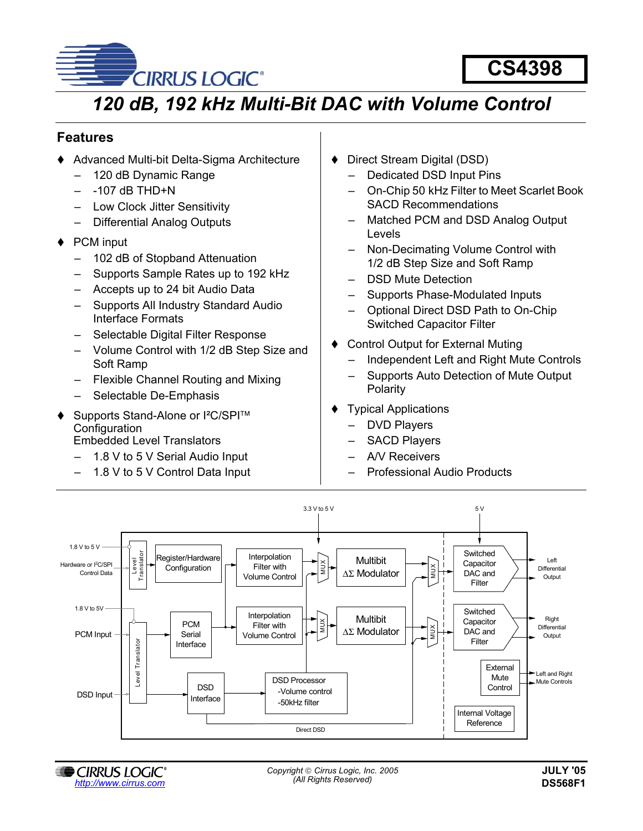

**CS4398**

# *120 dB, 192 kHz Multi-Bit DAC with Volume Control*

## **Features**

- ◆ Advanced Multi-bit Delta-Sigma Architecture
	- 120 dB Dynamic Range
	- $-$  -107 dB THD+N
	- Low Clock Jitter Sensitivity
	- Differential Analog Outputs
- ◆ PCM input
	- 102 dB of Stopband Attenuation
	- Supports Sample Rates up to 192 kHz
	- Accepts up to 24 bit Audio Data
	- Supports All Industry Standard Audio Interface Formats
	- Selectable Digital Filter Response
	- Volume Control with 1/2 dB Step Size and Soft Ramp
	- Flexible Channel Routing and Mixing
	- Selectable De-Emphasis
- ◆ Supports Stand-Alone or I<sup>2</sup>C/SPI<sup>™</sup> Configuration Embedded Level Translators
	- 1.8 V to 5 V Serial Audio Input
	- 1.8 V to 5 V Control Data Input
- Direct Stream Digital (DSD)
	- Dedicated DSD Input Pins
	- On-Chip 50 kHz Filter to Meet Scarlet Book SACD Recommendations
	- Matched PCM and DSD Analog Output Levels
	- Non-Decimating Volume Control with 1/2 dB Step Size and Soft Ramp
	- DSD Mute Detection
	- Supports Phase-Modulated Inputs
	- Optional Direct DSD Path to On-Chip Switched Capacitor Filter
- Control Output for External Muting
	- Independent Left and Right Mute Controls
	- Supports Auto Detection of Mute Output Polarity
- Typical Applications
	- DVD Players
	- SACD Players
	- A/V Receivers
	- Professional Audio Products

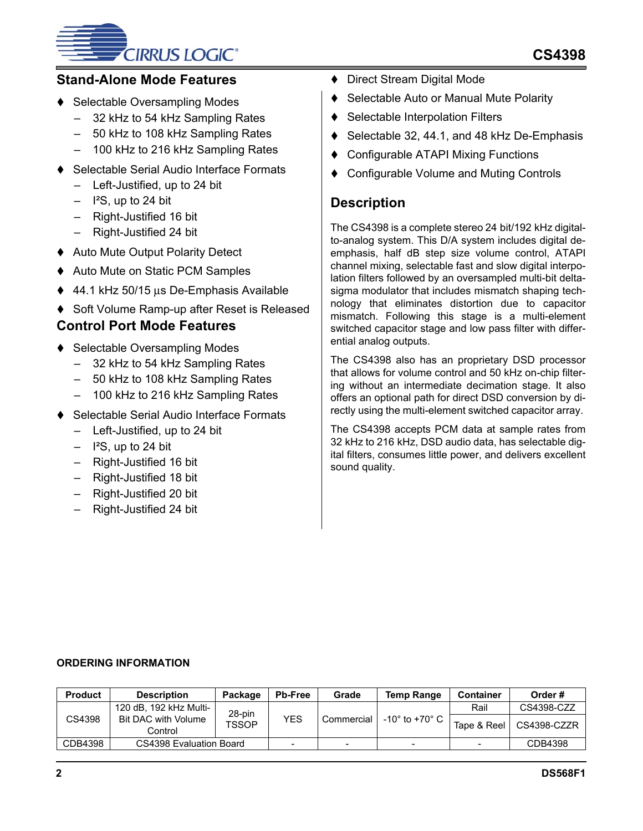# **CIRRUS LOGIC®**

# **Stand-Alone Mode Features**

- Selectable Oversampling Modes
	- 32 kHz to 54 kHz Sampling Rates
	- 50 kHz to 108 kHz Sampling Rates
	- 100 kHz to 216 kHz Sampling Rates
- Selectable Serial Audio Interface Formats
	- Left-Justified, up to 24 bit
	- $-$  I<sup>2</sup>S, up to 24 bit
	- Right-Justified 16 bit
	- Right-Justified 24 bit
- ◆ Auto Mute Output Polarity Detect
- ◆ Auto Mute on Static PCM Samples
- 44.1 kHz 50/15 µs De-Emphasis Available
- ♦ Soft Volume Ramp-up after Reset is Released

# **Control Port Mode Features**

- ◆ Selectable Oversampling Modes
	- 32 kHz to 54 kHz Sampling Rates
	- 50 kHz to 108 kHz Sampling Rates
	- 100 kHz to 216 kHz Sampling Rates
- Selectable Serial Audio Interface Formats
	- Left-Justified, up to 24 bit
	- $-$  I<sup>2</sup>S, up to 24 bit
	- Right-Justified 16 bit
	- Right-Justified 18 bit
	- Right-Justified 20 bit
	- Right-Justified 24 bit
- ◆ Direct Stream Digital Mode
- ◆ Selectable Auto or Manual Mute Polarity
- ♦ Selectable Interpolation Filters
- Selectable 32, 44.1, and 48 kHz De-Emphasis
- Configurable ATAPI Mixing Functions
- Configurable Volume and Muting Controls

# **Description**

The CS4398 is a complete stereo 24 bit/192 kHz digitalto-analog system. This D/A system includes digital deemphasis, half dB step size volume control, ATAPI channel mixing, selectable fast and slow digital interpolation filters followed by an oversampled multi-bit deltasigma modulator that includes mismatch shaping technology that eliminates distortion due to capacitor mismatch. Following this stage is a multi-element switched capacitor stage and low pass filter with differential analog outputs.

The CS4398 also has an proprietary DSD processor that allows for volume control and 50 kHz on-chip filtering without an intermediate decimation stage. It also offers an optional path for direct DSD conversion by directly using the multi-element switched capacitor array.

The CS4398 accepts PCM data at sample rates from 32 kHz to 216 kHz, DSD audio data, has selectable digital filters, consumes little power, and delivers excellent sound quality.

# **ORDERING INFORMATION**

| <b>Product</b> | <b>Description</b>             | Package      | <b>Pb-Free</b>           | Grade      | <b>Temp Range</b> | <b>Container</b> | Order#      |
|----------------|--------------------------------|--------------|--------------------------|------------|-------------------|------------------|-------------|
|                | 120 dB, 192 kHz Multi-         | 28-pin       |                          |            |                   | Rail             | CS4398-CZZ  |
| CS4398         | Bit DAC with Volume<br>Control | <b>TSSOP</b> | YES                      | Commercial | -10° to +70° C    | Tape & Reel      | CS4398-CZZR |
| CDB4398        | CS4398 Evaluation Board        |              | $\overline{\phantom{0}}$ | -          | -                 |                  | CDB4398     |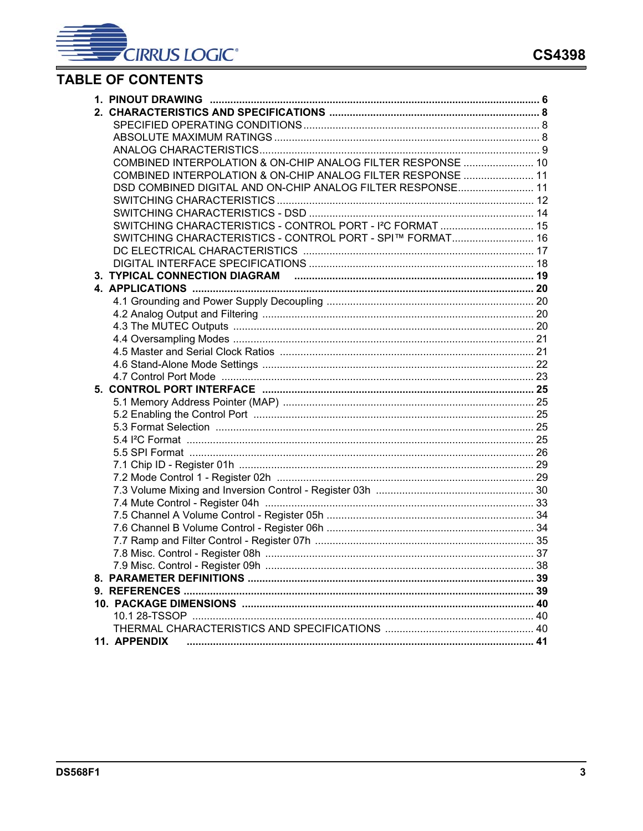# **TABLE OF CONTENTS**

| COMBINED INTERPOLATION & ON-CHIP ANALOG FILTER RESPONSE  10            |  |
|------------------------------------------------------------------------|--|
| COMBINED INTERPOLATION & ON-CHIP ANALOG FILTER RESPONSE  11            |  |
| DSD COMBINED DIGITAL AND ON-CHIP ANALOG FILTER RESPONSE 11             |  |
|                                                                        |  |
|                                                                        |  |
| SWITCHING CHARACTERISTICS - CONTROL PORT - I <sup>2</sup> C FORMAT  15 |  |
| SWITCHING CHARACTERISTICS - CONTROL PORT - SPI™ FORMAT 16              |  |
|                                                                        |  |
|                                                                        |  |
|                                                                        |  |
|                                                                        |  |
|                                                                        |  |
|                                                                        |  |
|                                                                        |  |
|                                                                        |  |
|                                                                        |  |
|                                                                        |  |
|                                                                        |  |
|                                                                        |  |
|                                                                        |  |
|                                                                        |  |
|                                                                        |  |
|                                                                        |  |
|                                                                        |  |
|                                                                        |  |
|                                                                        |  |
|                                                                        |  |
|                                                                        |  |
|                                                                        |  |
|                                                                        |  |
|                                                                        |  |
|                                                                        |  |
|                                                                        |  |
|                                                                        |  |
|                                                                        |  |
|                                                                        |  |
|                                                                        |  |
|                                                                        |  |
| 11. APPENDIX                                                           |  |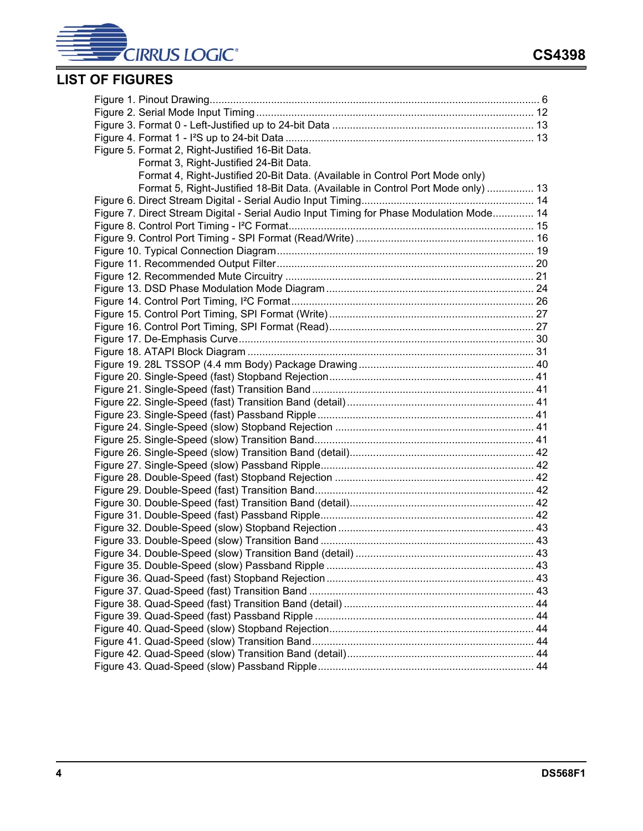

# **LIST OF FIGURES**

| Figure 5. Format 2, Right-Justified 16-Bit Data.                                         |  |
|------------------------------------------------------------------------------------------|--|
| Format 3, Right-Justified 24-Bit Data.                                                   |  |
| Format 4, Right-Justified 20-Bit Data. (Available in Control Port Mode only)             |  |
| Format 5, Right-Justified 18-Bit Data. (Available in Control Port Mode only)  13         |  |
|                                                                                          |  |
| Figure 7. Direct Stream Digital - Serial Audio Input Timing for Phase Modulation Mode 14 |  |
|                                                                                          |  |
|                                                                                          |  |
|                                                                                          |  |
|                                                                                          |  |
|                                                                                          |  |
|                                                                                          |  |
|                                                                                          |  |
|                                                                                          |  |
|                                                                                          |  |
|                                                                                          |  |
|                                                                                          |  |
|                                                                                          |  |
|                                                                                          |  |
|                                                                                          |  |
|                                                                                          |  |
|                                                                                          |  |
|                                                                                          |  |
|                                                                                          |  |
|                                                                                          |  |
|                                                                                          |  |
|                                                                                          |  |
|                                                                                          |  |
|                                                                                          |  |
|                                                                                          |  |
|                                                                                          |  |
|                                                                                          |  |
|                                                                                          |  |
|                                                                                          |  |
|                                                                                          |  |
|                                                                                          |  |
|                                                                                          |  |
|                                                                                          |  |
|                                                                                          |  |
|                                                                                          |  |
|                                                                                          |  |
|                                                                                          |  |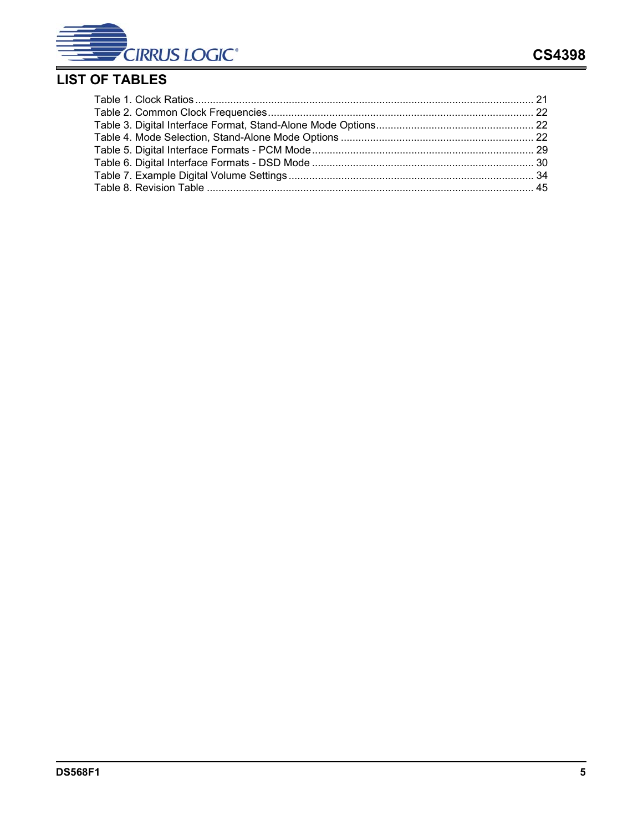

# **LIST OF TABLES**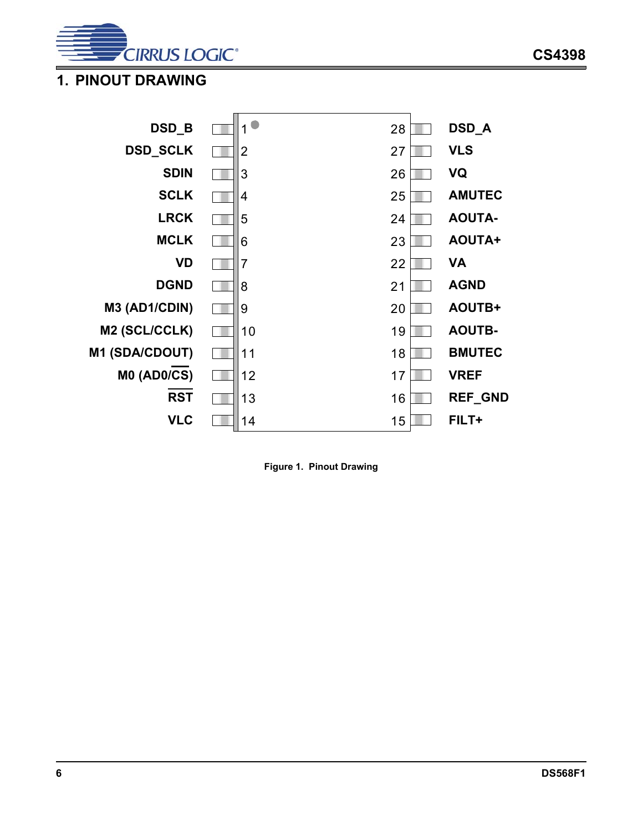

# <span id="page-5-0"></span>**1. PINOUT DRAWING**



<span id="page-5-1"></span>**Figure 1. Pinout Drawing**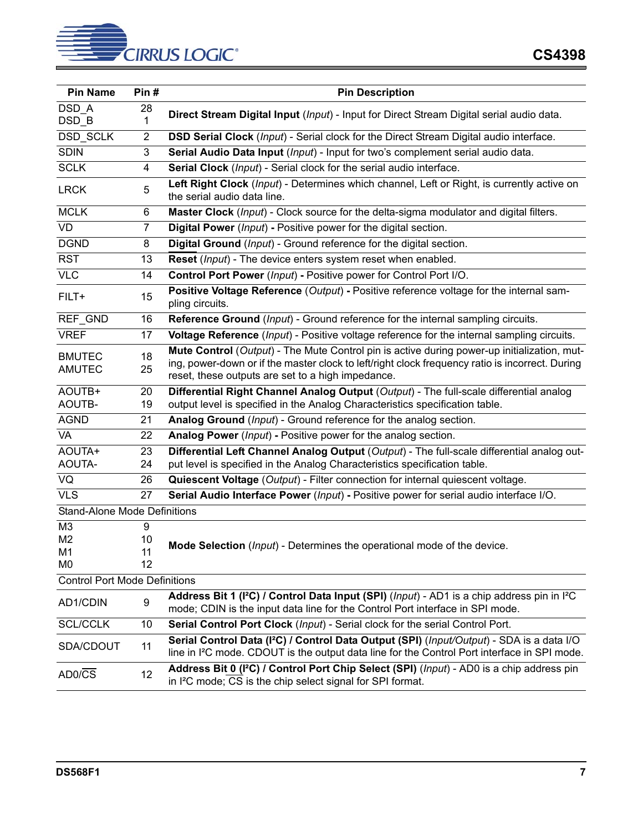

| <b>Pin Name</b>                      | Pin#                | <b>Pin Description</b>                                                                                                                                                                                                                              |
|--------------------------------------|---------------------|-----------------------------------------------------------------------------------------------------------------------------------------------------------------------------------------------------------------------------------------------------|
| DSD A                                | 28                  | Direct Stream Digital Input (Input) - Input for Direct Stream Digital serial audio data.                                                                                                                                                            |
| DSD_B                                | 1                   |                                                                                                                                                                                                                                                     |
| DSD_SCLK                             | 2                   | DSD Serial Clock (Input) - Serial clock for the Direct Stream Digital audio interface.                                                                                                                                                              |
| <b>SDIN</b>                          | 3                   | Serial Audio Data Input (Input) - Input for two's complement serial audio data.                                                                                                                                                                     |
| <b>SCLK</b>                          | 4                   | Serial Clock (Input) - Serial clock for the serial audio interface.                                                                                                                                                                                 |
| <b>LRCK</b>                          | 5                   | Left Right Clock (Input) - Determines which channel, Left or Right, is currently active on<br>the serial audio data line.                                                                                                                           |
| <b>MCLK</b>                          | 6                   | Master Clock (Input) - Clock source for the delta-sigma modulator and digital filters.                                                                                                                                                              |
| <b>VD</b>                            | $\overline{7}$      | Digital Power (Input) - Positive power for the digital section.                                                                                                                                                                                     |
| <b>DGND</b>                          | 8                   | Digital Ground (Input) - Ground reference for the digital section.                                                                                                                                                                                  |
| <b>RST</b>                           | 13                  | Reset (Input) - The device enters system reset when enabled.                                                                                                                                                                                        |
| <b>VLC</b>                           | 14                  | Control Port Power (Input) - Positive power for Control Port I/O.                                                                                                                                                                                   |
| FILT+                                | 15                  | Positive Voltage Reference (Output) - Positive reference voltage for the internal sam-<br>pling circuits.                                                                                                                                           |
| REF_GND                              | 16                  | Reference Ground (Input) - Ground reference for the internal sampling circuits.                                                                                                                                                                     |
| <b>VREF</b>                          | 17                  | Voltage Reference (Input) - Positive voltage reference for the internal sampling circuits.                                                                                                                                                          |
| <b>BMUTEC</b><br><b>AMUTEC</b>       | 18<br>25            | Mute Control (Output) - The Mute Control pin is active during power-up initialization, mut-<br>ing, power-down or if the master clock to left/right clock frequency ratio is incorrect. During<br>reset, these outputs are set to a high impedance. |
| AOUTB+<br>AOUTB-                     | 20<br>19            | Differential Right Channel Analog Output (Output) - The full-scale differential analog<br>output level is specified in the Analog Characteristics specification table.                                                                              |
| <b>AGND</b>                          | 21                  | Analog Ground (Input) - Ground reference for the analog section.                                                                                                                                                                                    |
| VA                                   | 22                  | Analog Power (Input) - Positive power for the analog section.                                                                                                                                                                                       |
| AOUTA+                               | 23                  | Differential Left Channel Analog Output (Output) - The full-scale differential analog out-                                                                                                                                                          |
| <b>AOUTA-</b>                        | 24                  | put level is specified in the Analog Characteristics specification table.                                                                                                                                                                           |
| VQ                                   | 26                  | Quiescent Voltage (Output) - Filter connection for internal quiescent voltage.                                                                                                                                                                      |
| <b>VLS</b>                           | 27                  | Serial Audio Interface Power (Input) - Positive power for serial audio interface I/O.                                                                                                                                                               |
| <b>Stand-Alone Mode Definitions</b>  |                     |                                                                                                                                                                                                                                                     |
| M3<br>M <sub>2</sub><br>M1<br>M0     | 9<br>10<br>11<br>12 | Mode Selection (Input) - Determines the operational mode of the device.                                                                                                                                                                             |
| <b>Control Port Mode Definitions</b> |                     |                                                                                                                                                                                                                                                     |
| AD1/CDIN                             | 9                   | Address Bit 1 (I <sup>2</sup> C) / Control Data Input (SPI) (Input) - AD1 is a chip address pin in I <sup>2</sup> C<br>mode; CDIN is the input data line for the Control Port interface in SPI mode.                                                |
| <b>SCL/CCLK</b>                      | 10                  | Serial Control Port Clock (Input) - Serial clock for the serial Control Port.                                                                                                                                                                       |
| SDA/CDOUT                            | 11                  | Serial Control Data (I <sup>2</sup> C) / Control Data Output (SPI) (Input/Output) - SDA is a data I/O<br>line in I <sup>2</sup> C mode. CDOUT is the output data line for the Control Port interface in SPI mode.                                   |
| AD0/CS                               | 12                  | Address Bit 0 (I <sup>2</sup> C) / Control Port Chip Select (SPI) (Input) - AD0 is a chip address pin<br>in I <sup>2</sup> C mode; CS is the chip select signal for SPI format.                                                                     |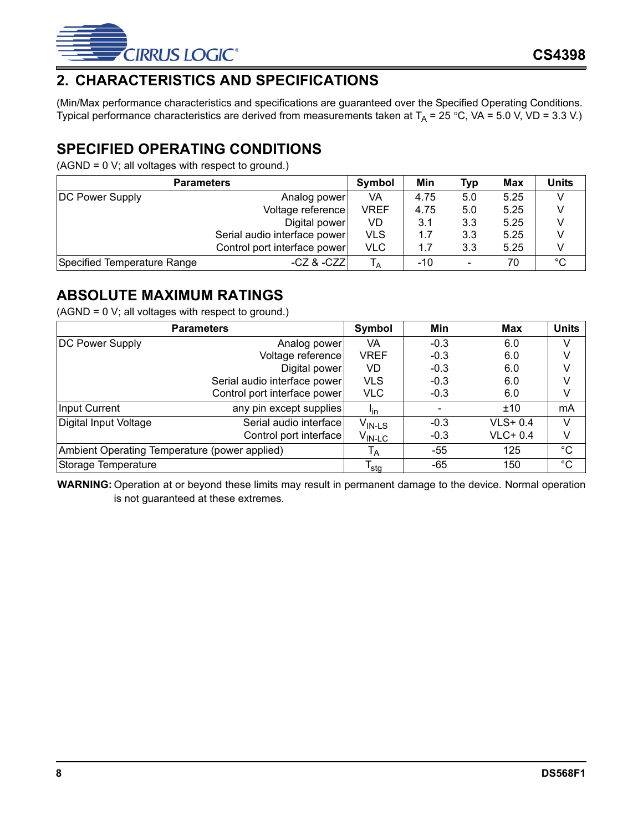

# <span id="page-7-0"></span>**2. CHARACTERISTICS AND SPECIFICATIONS**

(Min/Max performance characteristics and specifications are guaranteed over the Specified Operating Conditions. Typical performance characteristics are derived from measurements taken at  $T_A = 25 °C$ , VA = 5.0 V, VD = 3.3 V.)

# <span id="page-7-1"></span>**SPECIFIED OPERATING CONDITIONS**

(AGND = 0 V; all voltages with respect to ground.)

| <b>Parameters</b>           |                              |                | Min   | Typ                      | Max  | <b>Units</b> |
|-----------------------------|------------------------------|----------------|-------|--------------------------|------|--------------|
| <b>DC Power Supply</b>      | Analog power                 | VA             | 4.75  | 5.0                      | 5.25 |              |
|                             | Voltage reference            | VREF           | 4.75  | 5.0                      | 5.25 |              |
|                             | Digital power                | VD             | 3.1   | 3.3                      | 5.25 |              |
|                             | Serial audio interface power | <b>VLS</b>     | 1.7   | 3.3                      | 5.25 |              |
|                             | Control port interface power | <b>VLC</b>     | 1.7   | 3.3                      | 5.25 |              |
| Specified Temperature Range | $-CZ$ & $-CZZ$               | <sup>1</sup> A | $-10$ | $\overline{\phantom{a}}$ | 70   | $^{\circ}C$  |

# <span id="page-7-2"></span>**ABSOLUTE MAXIMUM RATINGS**

(AGND = 0 V; all voltages with respect to ground.)

|                                               | <b>Parameters</b>            | Symbol                      | Min    | Max       | <b>Units</b> |
|-----------------------------------------------|------------------------------|-----------------------------|--------|-----------|--------------|
| <b>DC Power Supply</b>                        | Analog power!                | VA                          | $-0.3$ | 6.0       | V            |
|                                               | Voltage reference            | <b>VREF</b>                 | $-0.3$ | 6.0       | V            |
|                                               | Digital power                | VD                          | $-0.3$ | 6.0       | V            |
|                                               | Serial audio interface power | <b>VLS</b>                  | $-0.3$ | 6.0       | V            |
|                                               | Control port interface power | <b>VLC</b>                  | $-0.3$ | 6.0       | V            |
| Input Current                                 | any pin except supplies      | <sup>l</sup> in             |        | ±10       | mA           |
| Digital Input Voltage                         | Serial audio interface       | $V_{IN\text{-LS}}$          | $-0.3$ | $VLS+0.4$ | V            |
|                                               | Control port interface       | $V_{IN-LC}$                 | $-0.3$ | $VLC+0.4$ | V            |
| Ambient Operating Temperature (power applied) |                              | $I_A$                       | -55    | 125       | $^{\circ}C$  |
| Storage Temperature                           |                              | $\mathsf{T}_{\mathsf{stg}}$ | $-65$  | 150       | $^{\circ}$ C |

**WARNING:** Operation at or beyond these limits may result in permanent damage to the device. Normal operation is not guaranteed at these extremes.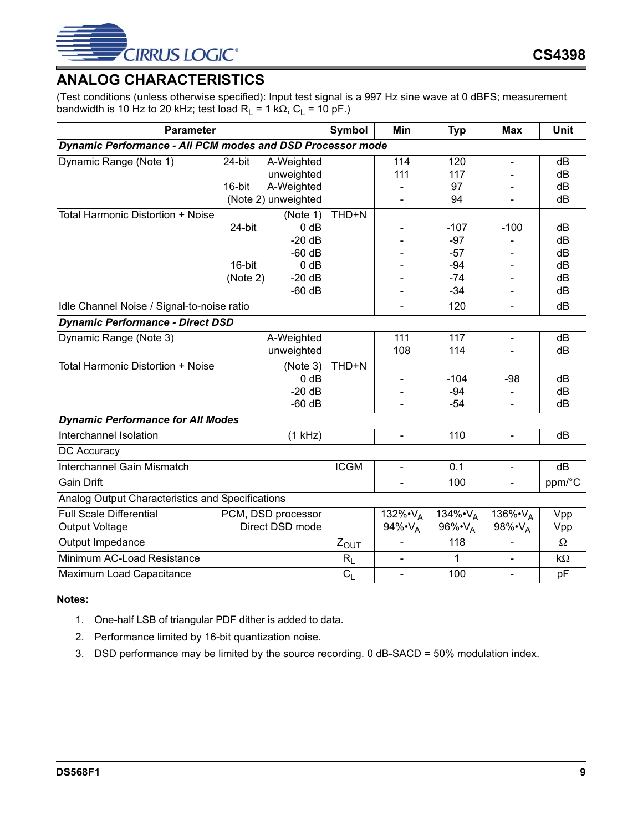

# <span id="page-8-0"></span>**ANALOG CHARACTERISTICS**

(Test conditions (unless otherwise specified): Input test signal is a 997 Hz sine wave at 0 dBFS; measurement bandwidth is 10 Hz to 20 kHz; test load  $R_L = 1$  k $\Omega$ ,  $C_L = 10$  pF.)

| <b>Parameter</b>                                                  |          |                     | <b>Symbol</b> | Min                         | <b>Typ</b>                  | <b>Max</b>               | <b>Unit</b> |
|-------------------------------------------------------------------|----------|---------------------|---------------|-----------------------------|-----------------------------|--------------------------|-------------|
| <b>Dynamic Performance - All PCM modes and DSD Processor mode</b> |          |                     |               |                             |                             |                          |             |
| Dynamic Range (Note 1)                                            | 24-bit   | A-Weighted          |               | 114                         | 120                         | $\overline{\phantom{a}}$ | dB          |
|                                                                   |          | unweighted          |               | 111                         | 117                         |                          | dB          |
|                                                                   | 16-bit   | A-Weighted          |               |                             | 97                          |                          | dB          |
|                                                                   |          | (Note 2) unweighted |               |                             | 94                          |                          | dB          |
| Total Harmonic Distortion + Noise                                 |          | (Note 1)            | THD+N         |                             |                             |                          |             |
|                                                                   | 24-bit   | $0$ dB              |               |                             | $-107$                      | $-100$                   | dB          |
|                                                                   |          | $-20dB$             |               |                             | $-97$                       |                          | dB          |
|                                                                   |          | $-60$ dB            |               |                             | $-57$                       |                          | dB          |
|                                                                   | 16-bit   | $0$ dB              |               |                             | -94                         |                          | dB          |
|                                                                   | (Note 2) | $-20dB$             |               |                             | $-74$                       |                          | dB          |
|                                                                   |          | $-60$ dB            |               |                             | $-34$                       |                          | dB          |
| Idle Channel Noise / Signal-to-noise ratio                        |          |                     |               |                             | 120                         | $\blacksquare$           | dB          |
| <b>Dynamic Performance - Direct DSD</b>                           |          |                     |               |                             |                             |                          |             |
| Dynamic Range (Note 3)                                            |          | A-Weighted          |               | 111                         | 117                         | $\blacksquare$           | dB          |
|                                                                   |          | unweighted          |               | 108                         | 114                         |                          | dB          |
| Total Harmonic Distortion + Noise                                 |          | (Note 3)            | THD+N         |                             |                             |                          |             |
|                                                                   |          | $0$ dB              |               |                             | $-104$                      | -98                      | dB          |
|                                                                   |          | $-20 dB$            |               |                             | $-94$                       |                          | dB          |
|                                                                   |          | $-60$ dB            |               |                             | $-54$                       |                          | dB          |
| <b>Dynamic Performance for All Modes</b>                          |          |                     |               |                             |                             |                          |             |
| Interchannel Isolation                                            |          | (1 kHz)             |               | $\blacksquare$              | 110                         | $\overline{\phantom{0}}$ | dB          |
| DC Accuracy                                                       |          |                     |               |                             |                             |                          |             |
| Interchannel Gain Mismatch                                        |          |                     | <b>ICGM</b>   | $\blacksquare$              | 0.1                         | $\blacksquare$           | dB          |
| <b>Gain Drift</b>                                                 |          |                     |               |                             | 100                         | $\blacksquare$           | ppm/°C      |
| Analog Output Characteristics and Specifications                  |          |                     |               |                             |                             |                          |             |
| <b>Full Scale Differential</b>                                    |          | PCM, DSD processor  |               | 132% $\cdot$ V <sub>A</sub> | 134% $\cdot$ V <sub>A</sub> | 136%•V <sub>A</sub>      | Vpp         |
| <b>Output Voltage</b>                                             |          | Direct DSD mode     |               | 94% $\cdot V_{A}$           | 96% $\cdot V_{A}$           | 98%•VA                   | Vpp         |
| Output Impedance                                                  |          |                     | $Z_{OUT}$     |                             | 118                         |                          | $\Omega$    |
| Minimum AC-Load Resistance                                        |          |                     | $R_L$         | $\blacksquare$              | 1                           | $\blacksquare$           | $k\Omega$   |
| Maximum Load Capacitance                                          |          |                     | $C_{L}$       | $\blacksquare$              | 100                         | $\blacksquare$           | pF          |

#### <span id="page-8-1"></span>**Notes:**

- 1. One-half LSB of triangular PDF dither is added to data.
- 2. Performance limited by 16-bit quantization noise.
- 3. DSD performance may be limited by the source recording. 0 dB-SACD = 50% modulation index.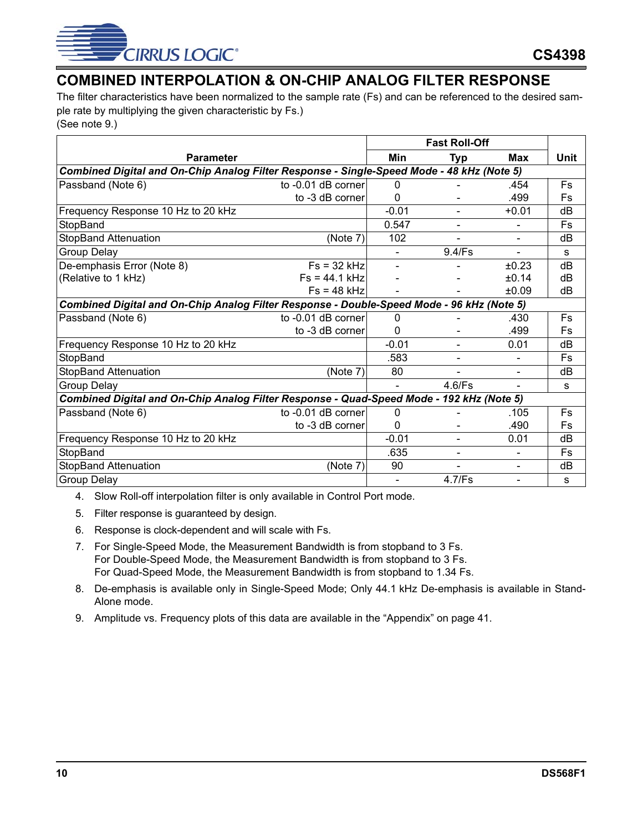

# <span id="page-9-0"></span>**COMBINED INTERPOLATION & ON-CHIP ANALOG FILTER RESPONSE**

The filter characteristics have been normalized to the sample rate (Fs) and can be referenced to the desired sample rate by multiplying the given characteristic by Fs.) (See note [9.](#page-9-1))

|                                                                                           |                                                                                           | <b>Fast Roll-Off</b>     |                          |                          |           |  |
|-------------------------------------------------------------------------------------------|-------------------------------------------------------------------------------------------|--------------------------|--------------------------|--------------------------|-----------|--|
| <b>Parameter</b>                                                                          |                                                                                           | Min                      | Typ                      | <b>Max</b>               | Unit      |  |
|                                                                                           | Combined Digital and On-Chip Analog Filter Response - Single-Speed Mode - 48 kHz (Note 5) |                          |                          |                          |           |  |
| Passband (Note 6)                                                                         | to -0.01 dB corner                                                                        | $\mathbf{0}$             |                          | .454                     | Fs        |  |
|                                                                                           | to -3 dB corner                                                                           | 0                        |                          | .499                     | Fs        |  |
| Frequency Response 10 Hz to 20 kHz                                                        |                                                                                           | $-0.01$                  | $\overline{\phantom{a}}$ | $+0.01$                  | dB        |  |
| StopBand                                                                                  |                                                                                           | 0.547                    | $\blacksquare$           |                          | <b>Fs</b> |  |
| <b>StopBand Attenuation</b>                                                               | (Note 7)                                                                                  | 102                      |                          |                          | dB        |  |
| <b>Group Delay</b>                                                                        |                                                                                           | $\overline{\phantom{0}}$ | 9.4/Fs                   | $\blacksquare$           | s         |  |
| De-emphasis Error (Note 8)                                                                | $Fs = 32 kHz$                                                                             |                          |                          | ±0.23                    | dB        |  |
| (Relative to 1 kHz)                                                                       | $Fs = 44.1 kHz$                                                                           |                          |                          | ±0.14                    | dB        |  |
|                                                                                           | $Fs = 48 kHz$                                                                             |                          |                          | ±0.09                    | dB        |  |
| Combined Digital and On-Chip Analog Filter Response - Double-Speed Mode - 96 kHz (Note 5) |                                                                                           |                          |                          |                          |           |  |
| Passband (Note 6)                                                                         | to -0.01 dB corner                                                                        | 0                        |                          | .430                     | <b>Fs</b> |  |
|                                                                                           | to -3 dB corner                                                                           | 0                        |                          | .499                     | Fs        |  |
| Frequency Response 10 Hz to 20 kHz                                                        |                                                                                           | $-0.01$                  | $\blacksquare$           | 0.01                     | dB        |  |
| StopBand                                                                                  |                                                                                           | .583                     | $\overline{\phantom{a}}$ | $\overline{\phantom{0}}$ | Fs        |  |
| <b>StopBand Attenuation</b>                                                               | (Note 7)                                                                                  | 80                       | $\overline{\phantom{a}}$ | $\overline{\phantom{a}}$ | dB        |  |
| <b>Group Delay</b>                                                                        |                                                                                           | $\overline{\phantom{0}}$ | $4.6$ /Fs                | $\blacksquare$           | s         |  |
| Combined Digital and On-Chip Analog Filter Response - Quad-Speed Mode - 192 kHz (Note 5)  |                                                                                           |                          |                          |                          |           |  |
| Passband (Note 6)                                                                         | to -0.01 dB corner                                                                        | 0                        |                          | .105                     | Fs        |  |
|                                                                                           | to -3 dB corner                                                                           | 0                        |                          | .490                     | Fs        |  |
| Frequency Response 10 Hz to 20 kHz                                                        |                                                                                           | $-0.01$                  | $\overline{\phantom{a}}$ | 0.01                     | dB        |  |
| StopBand                                                                                  |                                                                                           | .635                     | Ξ.                       | $\overline{\phantom{0}}$ | Fs        |  |
| <b>StopBand Attenuation</b>                                                               | (Note 7)                                                                                  | 90                       | $\overline{\phantom{a}}$ | $\blacksquare$           | dB        |  |
| <b>Group Delay</b>                                                                        |                                                                                           | $\blacksquare$           | 4.7/Fs                   | $\blacksquare$           | s         |  |

4. Slow Roll-off interpolation filter is only available in Control Port mode.

5. Filter response is guaranteed by design.

- 6. Response is clock-dependent and will scale with Fs.
- 7. For Single-Speed Mode, the Measurement Bandwidth is from stopband to 3 Fs. For Double-Speed Mode, the Measurement Bandwidth is from stopband to 3 Fs. For Quad-Speed Mode, the Measurement Bandwidth is from stopband to 1.34 Fs.
- 8. De-emphasis is available only in Single-Speed Mode; Only 44.1 kHz De-emphasis is available in Stand-Alone mode.
- <span id="page-9-1"></span>9. Amplitude vs. Frequency plots of this data are available in the ["Appendix" on page 41](#page-40-0).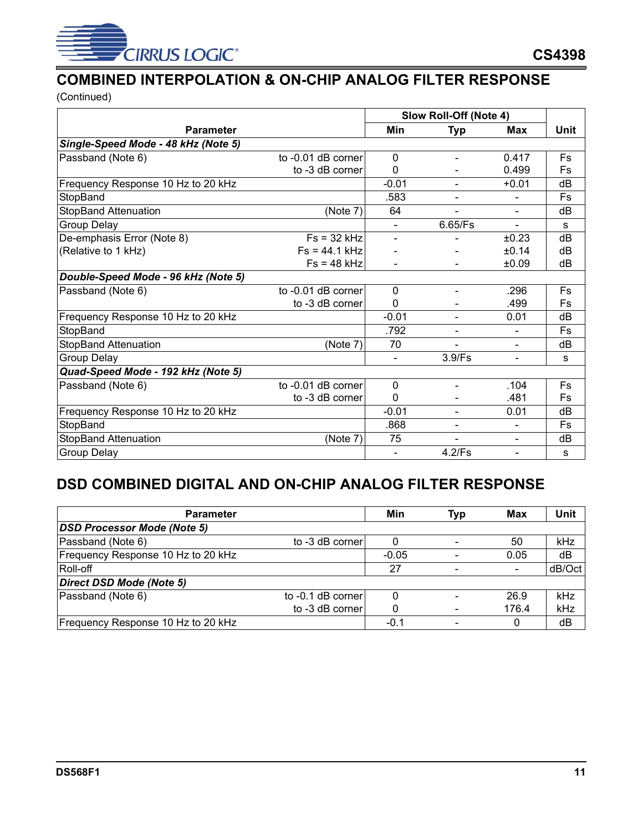

# <span id="page-10-0"></span>**COMBINED INTERPOLATION & ON-CHIP ANALOG FILTER RESPONSE**

(Continued)

|                                     |                    | Slow Roll-Off (Note 4) |                          |                          |           |
|-------------------------------------|--------------------|------------------------|--------------------------|--------------------------|-----------|
| <b>Parameter</b>                    |                    | Min                    | Typ                      | Max                      | Unit      |
| Single-Speed Mode - 48 kHz (Note 5) |                    |                        |                          |                          |           |
| Passband (Note 6)                   | to -0.01 dB corner | $\Omega$               | $\overline{\phantom{0}}$ | 0.417                    | <b>Fs</b> |
|                                     | to -3 dB corner    | 0                      |                          | 0.499                    | Fs        |
| Frequency Response 10 Hz to 20 kHz  |                    | $-0.01$                |                          | $+0.01$                  | dB        |
| StopBand                            |                    | .583                   |                          |                          | Fs        |
| StopBand Attenuation                | (Note 7)           | 64                     |                          | $\blacksquare$           | dB        |
| Group Delay                         |                    |                        | 6.65/Fs                  | $\blacksquare$           | S         |
| De-emphasis Error (Note 8)          | $Fs = 32 kHz$      |                        |                          | ±0.23                    | dB        |
| (Relative to 1 kHz)                 | $Fs = 44.1 kHz$    |                        |                          | ±0.14                    | dB        |
|                                     | $Fs = 48 kHz$      |                        |                          | ±0.09                    | dB        |
| Double-Speed Mode - 96 kHz (Note 5) |                    |                        |                          |                          |           |
| Passband (Note 6)                   | to -0.01 dB corner | $\Omega$               | $\overline{\phantom{a}}$ | .296                     | Fs        |
|                                     | to -3 dB corner    | $\Omega$               |                          | .499                     | Fs        |
| Frequency Response 10 Hz to 20 kHz  |                    | $-0.01$                | $\overline{\phantom{a}}$ | 0.01                     | dB        |
| StopBand                            |                    | .792                   | $\overline{\phantom{0}}$ | $\overline{\phantom{a}}$ | Fs        |
| <b>StopBand Attenuation</b>         | (Note 7)           | 70                     |                          | $\frac{1}{2}$            | dB        |
| <b>Group Delay</b>                  |                    |                        | 3.9/Fs                   | $\overline{\phantom{0}}$ | S         |
| Quad-Speed Mode - 192 kHz (Note 5)  |                    |                        |                          |                          |           |
| Passband (Note 6)                   | to -0.01 dB corner | $\Omega$               | $\blacksquare$           | .104                     | <b>Fs</b> |
|                                     | to -3 dB corner    | $\Omega$               |                          | .481                     | Fs        |
| Frequency Response 10 Hz to 20 kHz  |                    | $-0.01$                | $\overline{\phantom{a}}$ | 0.01                     | dB        |
| StopBand                            |                    | .868                   | $\overline{\phantom{a}}$ | $\blacksquare$           | Fs        |
| <b>StopBand Attenuation</b>         | (Note 7)           | 75                     | $\blacksquare$           | $\blacksquare$           | dB        |
| Group Delay                         |                    |                        | 4.2/Fs                   | $\blacksquare$           | s         |

# <span id="page-10-1"></span>**DSD COMBINED DIGITAL AND ON-CHIP ANALOG FILTER RESPONSE**

| <b>Parameter</b>                   |                   | Min     | <b>Typ</b>                   | <b>Max</b> | Unit   |
|------------------------------------|-------------------|---------|------------------------------|------------|--------|
| <b>DSD Processor Mode (Note 5)</b> |                   |         |                              |            |        |
| Passband (Note 6)                  | to -3 dB corner   |         | $\overline{\phantom{a}}$     | 50         | kHz    |
| Frequency Response 10 Hz to 20 kHz |                   | $-0.05$ |                              | 0.05       | dB     |
| Roll-off                           |                   | 27      | $\qquad \qquad \blacksquare$ |            | dB/Oct |
| Direct DSD Mode (Note 5)           |                   |         |                              |            |        |
| Passband (Note 6)                  | to -0.1 dB corner |         | $\qquad \qquad \blacksquare$ | 26.9       | kHz    |
|                                    | to -3 dB corner   |         | $\overline{\phantom{a}}$     | 176.4      | kHz    |
| Frequency Response 10 Hz to 20 kHz |                   | $-0.1$  | $\qquad \qquad \blacksquare$ |            | dB     |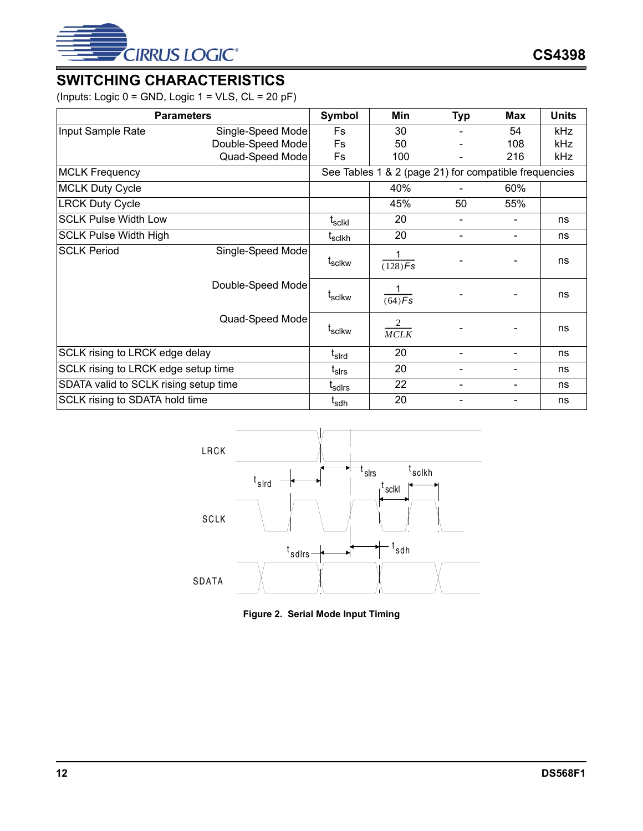

# <span id="page-11-0"></span>**SWITCHING CHARACTERISTICS**

(Inputs: Logic  $0 =$  GND, Logic  $1 =$  VLS,  $CL = 20 pF$ )

|                                       | <b>Parameters</b> | Symbol             | Min                                                   | <b>Typ</b>     | <b>Max</b> |            |  |
|---------------------------------------|-------------------|--------------------|-------------------------------------------------------|----------------|------------|------------|--|
| Input Sample Rate                     | Single-Speed Mode | <b>Fs</b>          | 30                                                    |                | 54         | kHz        |  |
|                                       | Double-Speed Mode | Fs                 | 50                                                    |                | 108        | kHz        |  |
|                                       | Quad-Speed Mode   | Fs                 | 100                                                   |                | 216        | <b>kHz</b> |  |
| <b>MCLK Frequency</b>                 |                   |                    | See Tables 1 & 2 (page 21) for compatible frequencies |                |            |            |  |
| <b>MCLK Duty Cycle</b>                |                   |                    | 40%                                                   |                | 60%        |            |  |
| <b>LRCK Duty Cycle</b>                |                   |                    | 45%                                                   | 50             | 55%        |            |  |
| <b>SCLK Pulse Width Low</b>           |                   | t <sub>sclkl</sub> | 20                                                    |                |            | ns         |  |
| <b>SCLK Pulse Width High</b>          |                   | t <sub>sclkh</sub> | 20                                                    | $\blacksquare$ |            | ns         |  |
| <b>SCLK Period</b>                    | Single-Speed Mode | t <sub>sclkw</sub> | 1<br>$(128)$ Fs                                       |                |            | ns         |  |
|                                       | Double-Speed Mode | t <sub>sclkw</sub> | 1<br>$\sqrt{(64)}$ Fs                                 |                |            | ns         |  |
|                                       | Quad-Speed Mode   | t <sub>sclkw</sub> | 2<br>MCLK                                             |                |            | ns         |  |
| SCLK rising to LRCK edge delay        |                   | t <sub>sird</sub>  | 20                                                    |                |            | ns         |  |
| SCLK rising to LRCK edge setup time   |                   | t <sub>sirs</sub>  | 20                                                    |                |            | ns         |  |
| SDATA valid to SCLK rising setup time |                   | t <sub>sdirs</sub> | 22                                                    |                |            | ns         |  |
| SCLK rising to SDATA hold time        |                   | t <sub>sdh</sub>   | 20                                                    |                |            | ns         |  |



<span id="page-11-1"></span>**Figure 2. Serial Mode Input Timing**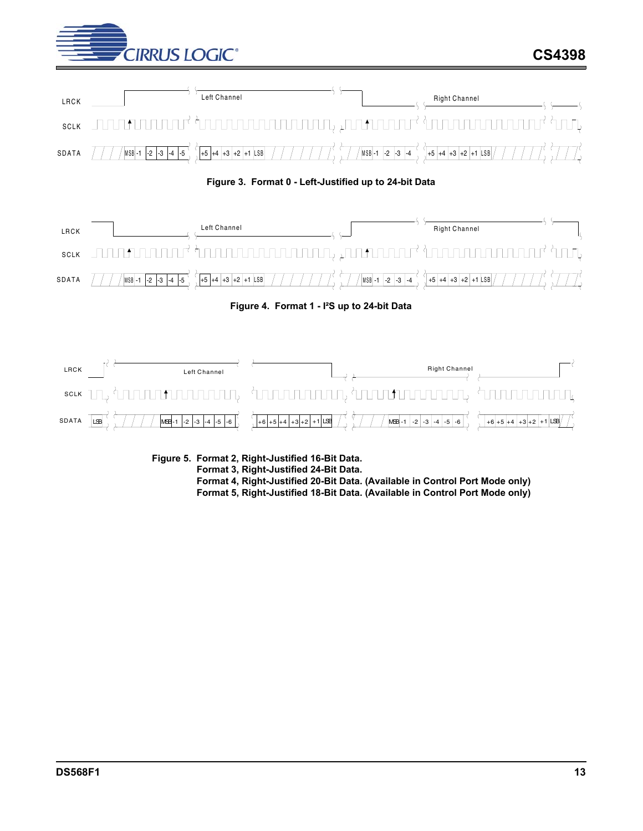





<span id="page-12-0"></span>

**Figure 4. Format 1 - I²S up to 24-bit Data**

<span id="page-12-1"></span>

<span id="page-12-2"></span>**Figure 5. Format 2, Right-Justified 16-Bit Data. Format 3, Right-Justified 24-Bit Data. Format 4, Right-Justified 20-Bit Data. (Available in Control Port Mode only) Format 5, Right-Justified 18-Bit Data. (Available in Control Port Mode only)**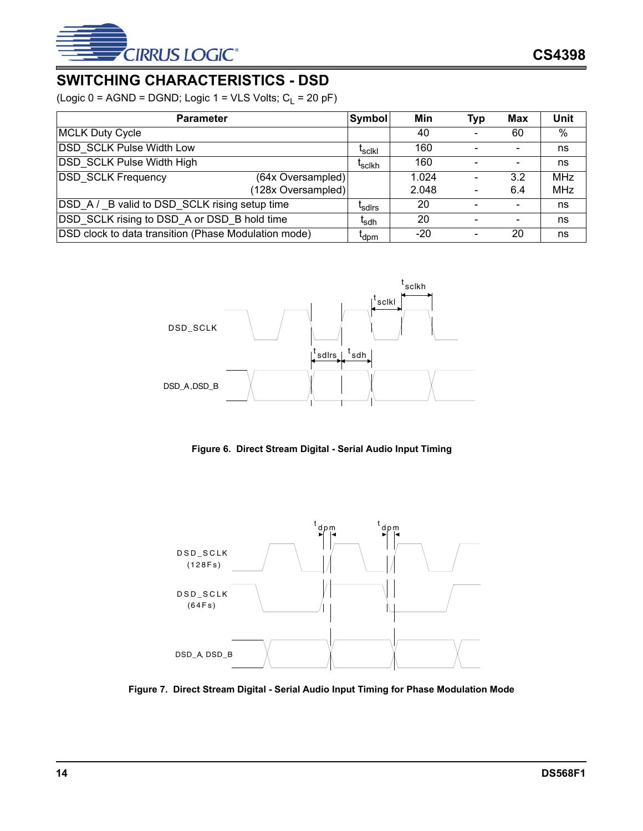

# <span id="page-13-0"></span>**SWITCHING CHARACTERISTICS - DSD**

(Logic  $0 = AGND = DGND$ ; Logic  $1 = VLS$  Volts;  $C_L = 20 pF$ )

| <b>Parameter</b>                                     | <b>Symbol</b>      | Min   | <b>Typ</b> | Max | Unit       |
|------------------------------------------------------|--------------------|-------|------------|-----|------------|
| <b>MCLK Duty Cycle</b>                               |                    | 40    |            | 60  | %          |
| <b>DSD SCLK Pulse Width Low</b>                      | <sup>L</sup> scikl | 160   |            |     | ns         |
| <b>DSD SCLK Pulse Width High</b>                     | <sup>L</sup> sclkh | 160   |            |     | ns         |
| <b>DSD SCLK Frequency</b><br>(64x Oversampled)       |                    | 1.024 |            | 3.2 | <b>MHz</b> |
| (128x Oversampled)                                   |                    | 2.048 |            | 6.4 | <b>MHz</b> |
| DSD A/ B valid to DSD SCLK rising setup time         | <sup>L</sup> sdirs | 20    |            |     | ns         |
| DSD SCLK rising to DSD A or DSD B hold time          | <sup>l</sup> sdh   | 20    |            |     | ns         |
| DSD clock to data transition (Phase Modulation mode) | I <sub>dpm</sub>   | -20   |            | 20  | ns         |



**Figure 6. Direct Stream Digital - Serial Audio Input Timing**

<span id="page-13-1"></span>

<span id="page-13-2"></span>**Figure 7. Direct Stream Digital - Serial Audio Input Timing for Phase Modulation Mode**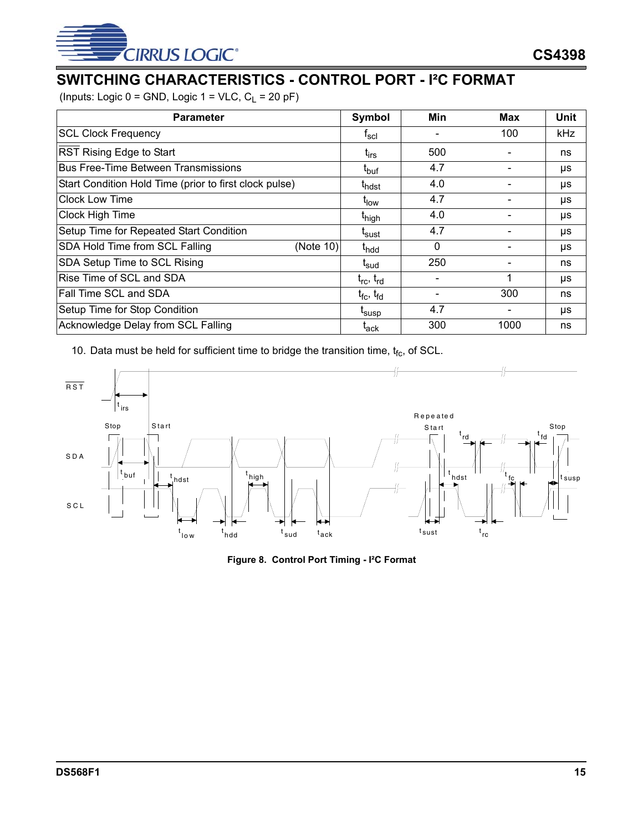

# <span id="page-14-0"></span>**SWITCHING CHARACTERISTICS - CONTROL PORT - I²C FORMAT**

(Inputs: Logic  $0 =$  GND, Logic  $1 =$  VLC,  $C_L = 20$  pF)

| <b>Parameter</b>                                       | Symbol                        | Min          | Max  | <b>Unit</b> |
|--------------------------------------------------------|-------------------------------|--------------|------|-------------|
| <b>SCL Clock Frequency</b>                             | $\mathsf{t}_{\mathsf{scl}}$   |              | 100  | <b>kHz</b>  |
| <b>RST Rising Edge to Start</b>                        | t <sub>irs</sub>              | 500          |      | ns          |
| <b>Bus Free-Time Between Transmissions</b>             | t <sub>buf</sub>              | 4.7          |      | μs          |
| Start Condition Hold Time (prior to first clock pulse) | <sup>I</sup> hdst             | 4.0          |      | μs          |
| <b>Clock Low Time</b>                                  | t <sub>low</sub>              | 4.7          |      | μs          |
| Clock High Time                                        | t <sub>high</sub>             | 4.0          |      | μs          |
| Setup Time for Repeated Start Condition                | <sup>L</sup> sust             | 4.7          |      | μs          |
| SDA Hold Time from SCL Falling<br>(Note 10)            | t <sub>hdd</sub>              | $\mathbf{0}$ |      | μs          |
| SDA Setup Time to SCL Rising                           | t <sub>sud</sub>              | 250          |      | ns          |
| Rise Time of SCL and SDA                               | $t_{\rm rc}$ , $t_{\rm rd}$   |              |      | μs          |
| Fall Time SCL and SDA                                  | $t_{\rm fc}$ , $t_{\rm fd}$   |              | 300  | ns          |
| Setup Time for Stop Condition                          | t <sub>susp</sub>             | 4.7          |      | μs          |
| Acknowledge Delay from SCL Falling                     | $\mathfrak{r}_{\mathsf{ack}}$ | 300          | 1000 | ns          |

10. Data must be held for sufficient time to bridge the transition time,  $t_{fc}$ , of SCL.



<span id="page-14-1"></span>**Figure 8. Control Port Timing - I²C Format**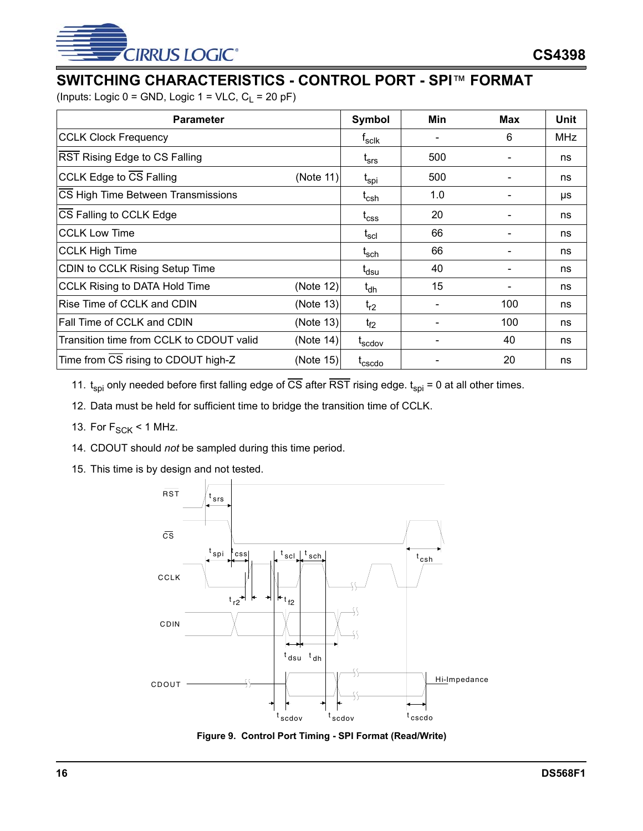

# <span id="page-15-0"></span>**SWITCHING CHARACTERISTICS - CONTROL PORT - SPI**™ **FORMAT**

(Inputs: Logic  $0 =$  GND, Logic  $1 =$  VLC,  $C_L = 20$  pF)

| <b>Parameter</b>                         | Symbol    | Min                         | Max | Unit |            |
|------------------------------------------|-----------|-----------------------------|-----|------|------------|
| <b>CCLK Clock Frequency</b>              |           | t <sub>sclk</sub>           |     | 6    | <b>MHz</b> |
| RST Rising Edge to CS Falling            |           | t <sub>srs</sub>            | 500 |      | ns         |
| <b>CCLK Edge to CS Falling</b>           | (Note 11) | t <sub>spi</sub>            | 500 |      | ns         |
| CS High Time Between Transmissions       |           | t <sub>csh</sub>            | 1.0 |      | μs         |
| CS Falling to CCLK Edge                  |           | $\mathfrak{t}_{\text{CSS}}$ | 20  |      | ns         |
| <b>CCLK Low Time</b>                     |           | $\mathsf{t}_{\mathsf{scl}}$ | 66  |      | ns         |
| <b>CCLK High Time</b>                    |           | t <sub>sch</sub>            | 66  |      | ns         |
| CDIN to CCLK Rising Setup Time           |           | t <sub>dsu</sub>            | 40  |      | ns         |
| <b>CCLK Rising to DATA Hold Time</b>     | (Note 12) | $t_{dh}$                    | 15  |      | ns         |
| Rise Time of CCLK and CDIN               | (Note 13) | $t_{r2}$                    |     | 100  | ns         |
| <b>Fall Time of CCLK and CDIN</b>        | (Note 13) | $t_{f2}$                    |     | 100  | ns         |
| Transition time from CCLK to CDOUT valid | (Note 14) | t <sub>scdov</sub>          |     | 40   | ns         |
| Time from CS rising to CDOUT high-Z      | (Note 15) | $t_{\text{cscolo}}$         |     | 20   | ns         |

11.  $t_{\text{spl}}$  only needed before first falling edge of  $\overline{CS}$  after  $\overline{RST}$  rising edge.  $t_{\text{spl}}$  = 0 at all other times.

12. Data must be held for sufficient time to bridge the transition time of CCLK.

- 13. For  $F_{SCK}$  < 1 MHz.
- 14. CDOUT should *not* be sampled during this time period.
- 15. This time is by design and not tested.



<span id="page-15-1"></span>**Figure 9. Control Port Timing - SPI Format (Read/Write)**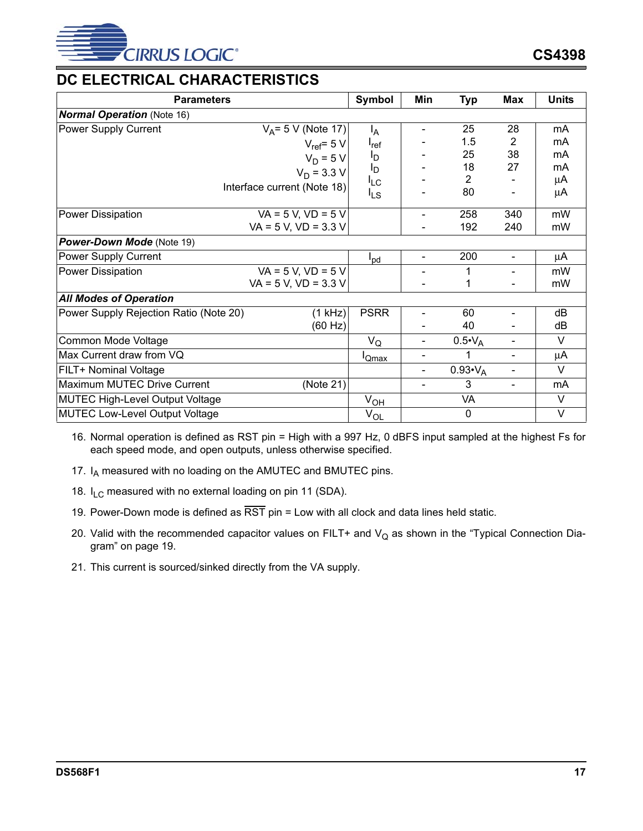

# <span id="page-16-0"></span>**DC ELECTRICAL CHARACTERISTICS**

|                                        | <b>Parameters</b>           | Symbol          | Min                      | <b>Typ</b>         | <b>Max</b>               | <b>Units</b>      |
|----------------------------------------|-----------------------------|-----------------|--------------------------|--------------------|--------------------------|-------------------|
| <b>Normal Operation (Note 16)</b>      |                             |                 |                          |                    |                          |                   |
| Power Supply Current                   | $V_A = 5 V (Note 17)$       | $I_A$           |                          | 25                 | 28                       | mA                |
|                                        | $V_{ref} = 5 V$             | $I_{ref}$       |                          | 1.5                | 2                        | mA                |
|                                        | $V_D = 5 V$                 | l <sub>D</sub>  |                          | 25                 | 38                       | mA                |
|                                        | $V_D = 3.3 V$               | l <sub>D</sub>  |                          | 18                 | 27                       | mA                |
|                                        | Interface current (Note 18) | $I_{LC}$        |                          | 2                  |                          | μA                |
|                                        |                             | $I_{LS}$        |                          | 80                 |                          | μA                |
| <b>Power Dissipation</b>               | $VA = 5 V, VD = 5 V$        |                 |                          | 258                | 340                      | mW                |
|                                        | $VA = 5 V, VD = 3.3 V$      |                 |                          | 192                | 240                      | mW                |
| Power-Down Mode (Note 19)              |                             |                 |                          |                    |                          |                   |
| Power Supply Current                   |                             | $I_{\text{pd}}$ | $\overline{\phantom{0}}$ | 200                | $\overline{\phantom{a}}$ | μA                |
| Power Dissipation                      | $VA = 5 V, VD = 5 V$        |                 |                          | 1                  | $\overline{\phantom{a}}$ | mW                |
|                                        | $VA = 5 V$ , $VD = 3.3 V$   |                 |                          | 1                  |                          | mW                |
| <b>All Modes of Operation</b>          |                             |                 |                          |                    |                          |                   |
| Power Supply Rejection Ratio (Note 20) | (1 kHz)                     | <b>PSRR</b>     |                          | 60                 |                          | dB                |
|                                        | (60 Hz)                     |                 |                          | 40                 |                          | dB                |
| Common Mode Voltage                    |                             | $V_Q$           | $\overline{\phantom{0}}$ | $0.5 \cdot V_{A}$  | $\blacksquare$           | V                 |
| Max Current draw from VQ               |                             | <b>I</b> Qmax   |                          | 1                  | $\blacksquare$           | μA                |
| FILT+ Nominal Voltage                  |                             |                 |                          | $0.93 \cdot V_{A}$ | $\blacksquare$           | $\vee$            |
| Maximum MUTEC Drive Current            | (Note 21)                   |                 | ۰                        | 3                  | $\blacksquare$           | mA                |
| <b>MUTEC High-Level Output Voltage</b> |                             | $V_{OL}$        |                          | VA                 |                          | V                 |
| <b>MUTEC Low-Level Output Voltage</b>  |                             | $V_{OL}$        |                          | $\mathbf 0$        |                          | $\overline{\vee}$ |

<span id="page-16-1"></span>16. Normal operation is defined as RST pin = High with a 997 Hz, 0 dBFS input sampled at the highest Fs for each speed mode, and open outputs, unless otherwise specified.

- 17.  $I_A$  measured with no loading on the AMUTEC and BMUTEC pins.
- 18.  $I_{LC}$  measured with no external loading on pin 11 (SDA).
- 19. Power-Down mode is defined as  $\overline{\text{RST}}$  pin = Low with all clock and data lines held static.
- 20. Valid with the recommended capacitor values on FILT+ and  $V_Q$  as shown in the ["Typical Connection Dia](#page-18-0)[gram" on page 19.](#page-18-0)
- 21. This current is sourced/sinked directly from the VA supply.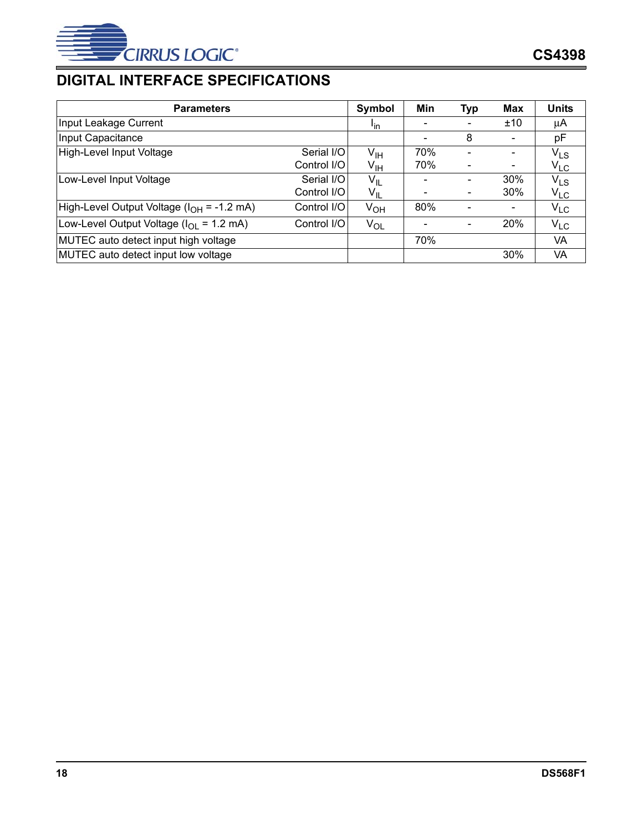

# <span id="page-17-0"></span>**DIGITAL INTERFACE SPECIFICATIONS**

| <b>Parameters</b>                                             |             | Symbol                | Min | <b>Typ</b>               | <b>Max</b>               | <b>Units</b> |
|---------------------------------------------------------------|-------------|-----------------------|-----|--------------------------|--------------------------|--------------|
| Input Leakage Current                                         |             | <u>I<sub>in</sub></u> |     |                          | ±10                      | μA           |
| Input Capacitance                                             |             |                       |     | 8                        | $\overline{\phantom{a}}$ | рF           |
| High-Level Input Voltage                                      | Serial I/O  | V <sub>IH</sub>       | 70% |                          | $\overline{\phantom{a}}$ | $V_{LS}$     |
|                                                               | Control I/O | V <sub>IH</sub>       | 70% |                          | $\overline{\phantom{a}}$ | $V_{LC}$     |
| Low-Level Input Voltage                                       | Serial I/O  | $V_{IL}$              |     |                          | 30%                      | $V_{LS}$     |
|                                                               | Control I/O | $V_{IL}$              |     | $\overline{\phantom{a}}$ | 30%                      | $V_{LC}$     |
| High-Level Output Voltage (I <sub>OH</sub> = -1.2 mA)         | Control I/O | $V_{OH}$              | 80% |                          | $\overline{\phantom{a}}$ | $V_{LC}$     |
| Low-Level Output Voltage ( $I_{\text{OI}} = 1.2 \text{ mA}$ ) | Control I/O | $V_{OL}$              |     |                          | 20%                      | $V_{LC}$     |
| MUTEC auto detect input high voltage                          |             |                       | 70% |                          |                          | VA           |
| MUTEC auto detect input low voltage                           |             |                       |     |                          | 30%                      | VA           |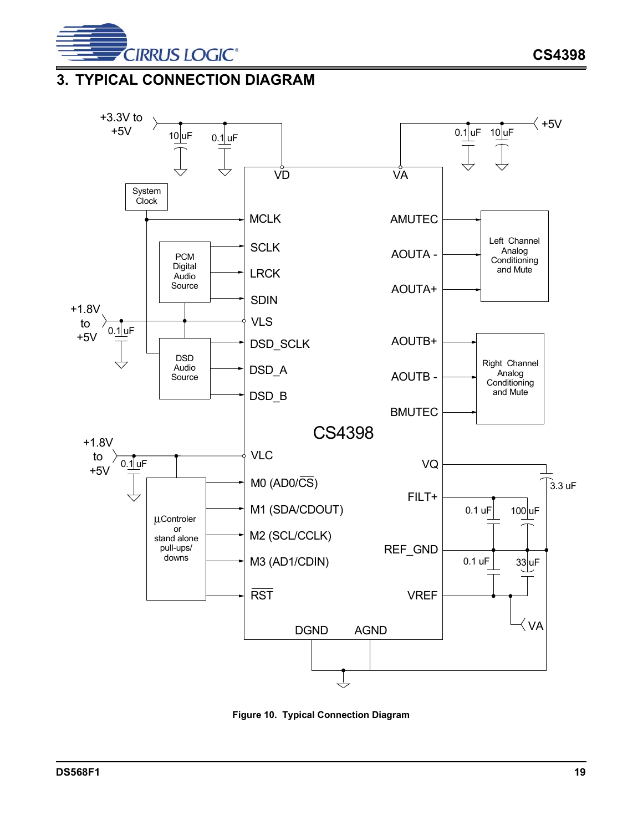

# <span id="page-18-0"></span>**3. TYPICAL CONNECTION DIAGRAM**



<span id="page-18-1"></span>**Figure 10. Typical Connection Diagram**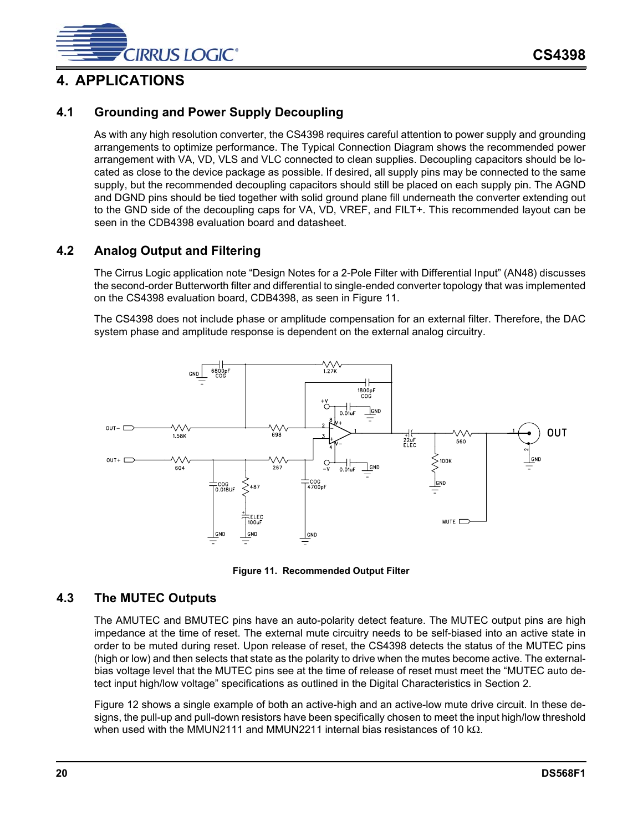

## <span id="page-19-0"></span>**4. APPLICATIONS**

## <span id="page-19-1"></span>**4.1 Grounding and Power Supply Decoupling**

As with any high resolution converter, the CS4398 requires careful attention to power supply and grounding arrangements to optimize performance. The [Typical Connection Diagram](#page-18-0) shows the recommended power arrangement with VA, VD, VLS and VLC connected to clean supplies. Decoupling capacitors should be located as close to the device package as possible. If desired, all supply pins may be connected to the same supply, but the recommended decoupling capacitors should still be placed on each supply pin. The AGND and DGND pins should be tied together with solid ground plane fill underneath the converter extending out to the GND side of the decoupling caps for VA, VD, VREF, and FILT+. This recommended layout can be seen in the CDB4398 evaluation board and datasheet.

## <span id="page-19-2"></span>**4.2 Analog Output and Filtering**

The Cirrus Logic application note "Design Notes for a 2-Pole Filter with Differential Input" (AN48) discusses the second-order Butterworth filter and differential to single-ended converter topology that was implemented on the CS4398 evaluation board, CDB4398, as seen in Figure [11](#page-19-4).

The CS4398 does not include phase or amplitude compensation for an external filter. Therefore, the DAC system phase and amplitude response is dependent on the external analog circuitry.



**Figure 11. Recommended Output Filter** 

#### <span id="page-19-4"></span><span id="page-19-3"></span>**4.3 The MUTEC Outputs**

The AMUTEC and BMUTEC pins have an auto-polarity detect feature. The MUTEC output pins are high impedance at the time of reset. The external mute circuitry needs to be self-biased into an active state in order to be muted during reset. Upon release of reset, the CS4398 detects the status of the MUTEC pins (high or low) and then selects that state as the polarity to drive when the mutes become active. The externalbias voltage level that the MUTEC pins see at the time of release of reset must meet the "MUTEC auto detect input high/low voltage" specifications as outlined in the Digital Characteristics in Section [2.](#page-7-0)

Figure [12](#page-20-2) shows a single example of both an active-high and an active-low mute drive circuit. In these designs, the pull-up and pull-down resistors have been specifically chosen to meet the input high/low threshold when used with the MMUN2111 and MMUN2211 internal bias resistances of 10 kΩ.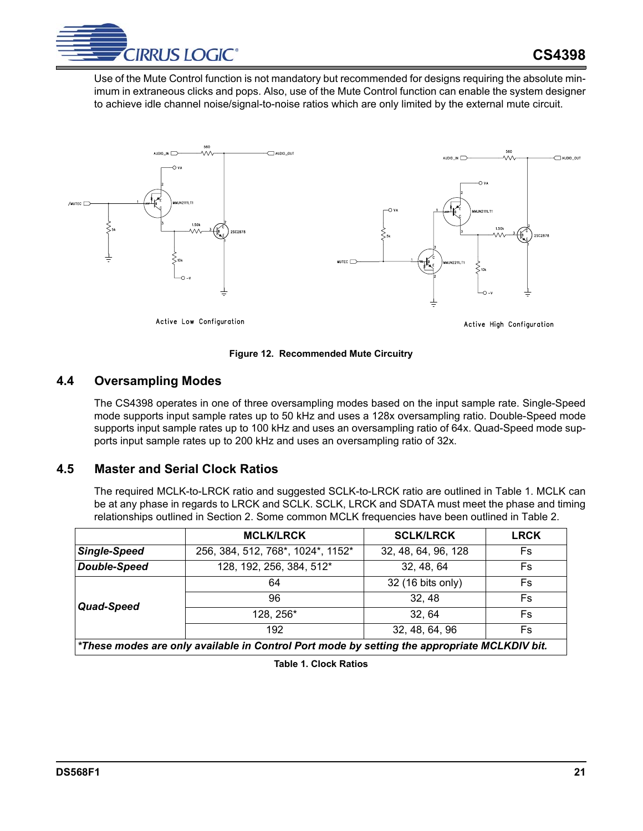

Use of the Mute Control function is not mandatory but recommended for designs requiring the absolute minimum in extraneous clicks and pops. Also, use of the Mute Control function can enable the system designer to achieve idle channel noise/signal-to-noise ratios which are only limited by the external mute circuit.



**Figure 12. Recommended Mute Circuitry** 

#### <span id="page-20-2"></span><span id="page-20-0"></span>**4.4 Oversampling Modes**

The CS4398 operates in one of three oversampling modes based on the input sample rate. Single-Speed mode supports input sample rates up to 50 kHz and uses a 128x oversampling ratio. Double-Speed mode supports input sample rates up to 100 kHz and uses an oversampling ratio of 64x. Quad-Speed mode supports input sample rates up to 200 kHz and uses an oversampling ratio of 32x.

#### <span id="page-20-1"></span>**4.5 Master and Serial Clock Ratios**

The required MCLK-to-LRCK ratio and suggested SCLK-to-LRCK ratio are outlined in Table [1](#page-20-3). MCLK can be at any phase in regards to LRCK and SCLK. SCLK, LRCK and SDATA must meet the phase and timing relationships outlined in Section [2.](#page-7-0) Some common MCLK frequencies have been outlined in Table [2](#page-21-1).

<span id="page-20-3"></span>

|                     | <b>MCLK/LRCK</b>                                                                             | <b>SCLK/LRCK</b>    | <b>LRCK</b> |  |  |  |  |  |  |
|---------------------|----------------------------------------------------------------------------------------------|---------------------|-------------|--|--|--|--|--|--|
| <b>Single-Speed</b> | 256, 384, 512, 768*, 1024*, 1152*                                                            | 32, 48, 64, 96, 128 | Fs          |  |  |  |  |  |  |
| <b>Double-Speed</b> | 128, 192, 256, 384, 512*                                                                     | 32, 48, 64          | Fs          |  |  |  |  |  |  |
|                     | 64                                                                                           | 32 (16 bits only)   | <b>Fs</b>   |  |  |  |  |  |  |
| Quad-Speed          | 96                                                                                           | 32, 48              | <b>Fs</b>   |  |  |  |  |  |  |
|                     | 128, 256*                                                                                    | 32, 64              | <b>Fs</b>   |  |  |  |  |  |  |
|                     | 192                                                                                          | 32, 48, 64, 96      | Fs          |  |  |  |  |  |  |
|                     | *These modes are only available in Control Port mode by setting the appropriate MCLKDIV bit. |                     |             |  |  |  |  |  |  |

**Table 1. Clock Ratios**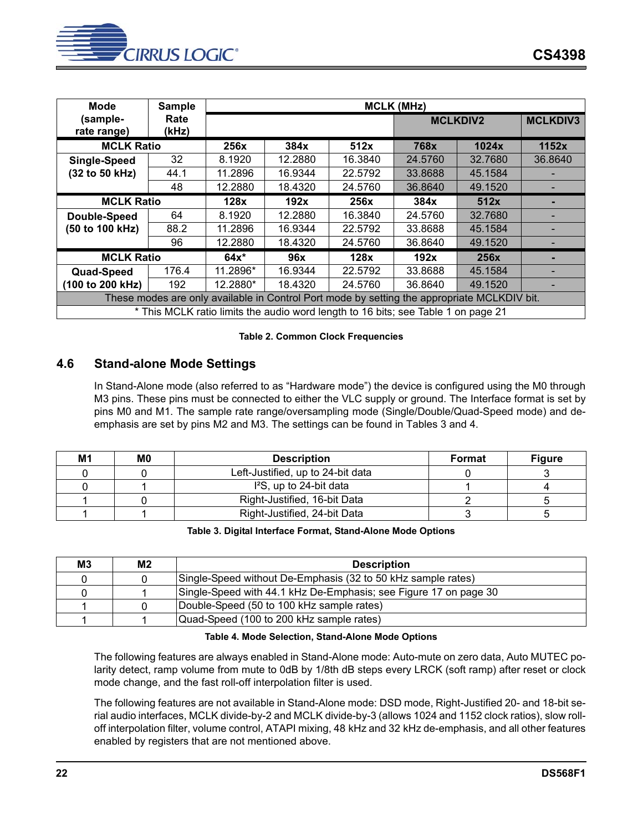

| <b>Mode</b>       | <b>Sample</b>                                                                               | <b>MCLK (MHz)</b> |         |                                                                                   |         |                 |                 |  |  |  |
|-------------------|---------------------------------------------------------------------------------------------|-------------------|---------|-----------------------------------------------------------------------------------|---------|-----------------|-----------------|--|--|--|
| (sample-          | Rate                                                                                        |                   |         |                                                                                   |         | <b>MCLKDIV2</b> | <b>MCLKDIV3</b> |  |  |  |
| rate range)       | (kHz)                                                                                       |                   |         |                                                                                   |         |                 |                 |  |  |  |
| <b>MCLK Ratio</b> |                                                                                             | 256x              | 384x    | 512x                                                                              | 768x    | 1024x           | 1152x           |  |  |  |
| Single-Speed      | 32                                                                                          | 8.1920            | 12.2880 | 16.3840                                                                           | 24.5760 | 32.7680         | 36.8640         |  |  |  |
| (32 to 50 kHz)    | 44.1                                                                                        | 11.2896           | 16.9344 | 22.5792                                                                           | 33.8688 | 45.1584         |                 |  |  |  |
|                   | 48                                                                                          | 12.2880           | 18.4320 | 24.5760                                                                           | 36.8640 | 49.1520         |                 |  |  |  |
| <b>MCLK Ratio</b> |                                                                                             | 128x              | 192x    | 256x                                                                              | 384x    | 512x            |                 |  |  |  |
| Double-Speed      | 64                                                                                          | 8.1920            | 12.2880 | 16.3840                                                                           | 24.5760 | 32.7680         |                 |  |  |  |
| (50 to 100 kHz)   | 88.2                                                                                        | 11.2896           | 16.9344 | 22.5792                                                                           | 33.8688 | 45.1584         |                 |  |  |  |
|                   | 96                                                                                          | 12.2880           | 18.4320 | 24.5760                                                                           | 36.8640 | 49.1520         |                 |  |  |  |
| <b>MCLK Ratio</b> |                                                                                             | $64x*$            | 96x     | 128x                                                                              | 192x    | 256x            |                 |  |  |  |
| <b>Quad-Speed</b> | 176.4                                                                                       | 11.2896*          | 16.9344 | 22.5792                                                                           | 33.8688 | 45.1584         |                 |  |  |  |
| (100 to 200 kHz)  | 192                                                                                         | 12.2880*          | 18.4320 | 24.5760                                                                           | 36.8640 | 49.1520         |                 |  |  |  |
|                   | These modes are only available in Control Port mode by setting the appropriate MCLKDIV bit. |                   |         |                                                                                   |         |                 |                 |  |  |  |
|                   |                                                                                             |                   |         | * This MCLK ratio limits the audio word length to 16 bits; see Table 1 on page 21 |         |                 |                 |  |  |  |

#### **Table 2. Common Clock Frequencies**

#### <span id="page-21-1"></span><span id="page-21-0"></span>**4.6 Stand-alone Mode Settings**

In Stand-Alone mode (also referred to as "Hardware mode") the device is configured using the M0 through M3 pins. These pins must be connected to either the VLC supply or ground. The Interface format is set by pins M0 and M1. The sample rate range/oversampling mode (Single/Double/Quad-Speed mode) and deemphasis are set by pins M2 and M3. The settings can be found in Tables [3](#page-21-2) and [4](#page-21-3).

| M1 | M0 | <b>Description</b>                | <b>Format</b> | <b>Figure</b> |
|----|----|-----------------------------------|---------------|---------------|
|    |    | Left-Justified, up to 24-bit data |               |               |
|    |    | $l^2S$ , up to 24-bit data        |               |               |
|    |    | Right-Justified, 16-bit Data      |               |               |
|    |    | Right-Justified, 24-bit Data      |               |               |

#### **Table 3. Digital Interface Format, Stand-Alone Mode Options**

<span id="page-21-2"></span>

| M3 | М2 | <b>Description</b>                                               |
|----|----|------------------------------------------------------------------|
|    |    | Single-Speed without De-Emphasis (32 to 50 kHz sample rates)     |
|    |    | Single-Speed with 44.1 kHz De-Emphasis; see Figure 17 on page 30 |
|    |    | Double-Speed (50 to 100 kHz sample rates)                        |
|    |    | Quad-Speed (100 to 200 kHz sample rates)                         |

#### **Table 4. Mode Selection, Stand-Alone Mode Options**

<span id="page-21-3"></span>The following features are always enabled in Stand-Alone mode: Auto-mute on zero data, Auto MUTEC polarity detect, ramp volume from mute to 0dB by 1/8th dB steps every LRCK (soft ramp) after reset or clock mode change, and the fast roll-off interpolation filter is used.

The following features are not available in Stand-Alone mode: DSD mode, Right-Justified 20- and 18-bit serial audio interfaces, MCLK divide-by-2 and MCLK divide-by-3 (allows 1024 and 1152 clock ratios), slow rolloff interpolation filter, volume control, ATAPI mixing, 48 kHz and 32 kHz de-emphasis, and all other features enabled by registers that are not mentioned above.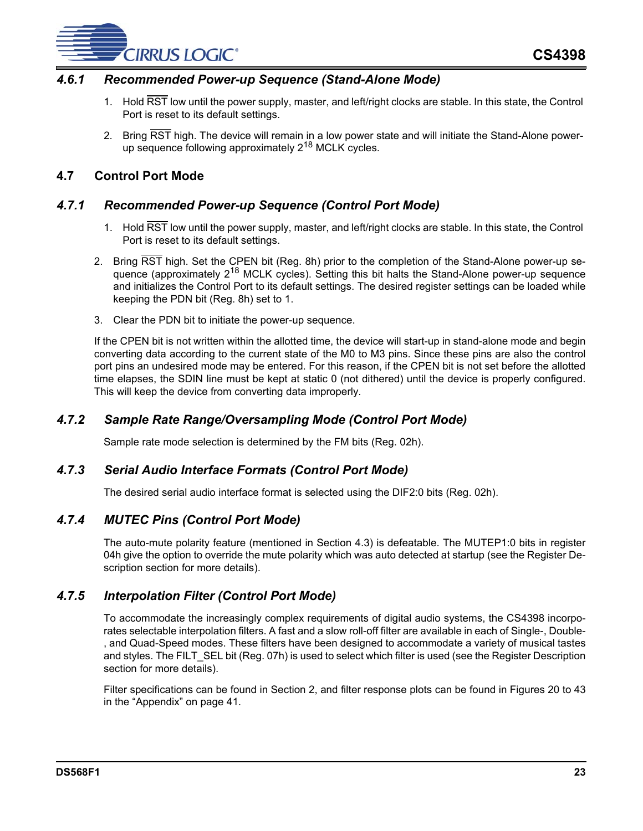

#### *4.6.1 Recommended Power-up Sequence (Stand-Alone Mode)*

- 1. Hold RST low until the power supply, master, and left/right clocks are stable. In this state, the Control Port is reset to its default settings.
- 2. Bring RST high. The device will remain in a low power state and will initiate the Stand-Alone powerup sequence following approximately 2<sup>18</sup> MCLK cycles.

#### <span id="page-22-0"></span>**4.7 Control Port Mode**

#### *4.7.1 Recommended Power-up Sequence (Control Port Mode)*

- 1. Hold RST low until the power supply, master, and left/right clocks are stable. In this state, the Control Port is reset to its default settings.
- 2. Bring RST high. Set the CPEN bit (Reg. 8h) prior to the completion of the Stand-Alone power-up sequence (approximately 2<sup>18</sup> MCLK cycles). Setting this bit halts the Stand-Alone power-up sequence and initializes the Control Port to its default settings. The desired register settings can be loaded while keeping the PDN bit (Reg. 8h) set to 1.
- 3. Clear the PDN bit to initiate the power-up sequence.

If the CPEN bit is not written within the allotted time, the device will start-up in stand-alone mode and begin converting data according to the current state of the M0 to M3 pins. Since these pins are also the control port pins an undesired mode may be entered. For this reason, if the CPEN bit is not set before the allotted time elapses, the SDIN line must be kept at static 0 (not dithered) until the device is properly configured. This will keep the device from converting data improperly.

## *4.7.2 Sample Rate Range/Oversampling Mode (Control Port Mode)*

Sample rate mode selection is determined by the FM bits (Reg. 02h).

#### *4.7.3 Serial Audio Interface Formats (Control Port Mode)*

The desired serial audio interface format is selected using the DIF2:0 bits (Reg. 02h).

#### *4.7.4 MUTEC Pins (Control Port Mode)*

The auto-mute polarity feature (mentioned in Section [4.3](#page-19-3)) is defeatable. The MUTEP1:0 bits in register 04h give the option to override the mute polarity which was auto detected at startup (see the [Register De](#page-28-3)[scription](#page-28-3) section for more details).

#### *4.7.5 Interpolation Filter (Control Port Mode)*

To accommodate the increasingly complex requirements of digital audio systems, the CS4398 incorporates selectable interpolation filters. A fast and a slow roll-off filter are available in each of Single-, Double- , and Quad-Speed modes. These filters have been designed to accommodate a variety of musical tastes and styles. The FILT SEL bit (Reg. 07h) is used to select which filter is used (see the [Register Description](#page-28-3) section for more details).

Filter specifications can be found in Section [2,](#page-7-0) and filter response plots can be found in Figures [20](#page-40-1) to [43](#page-43-5) in the ["Appendix" on page 41](#page-40-0).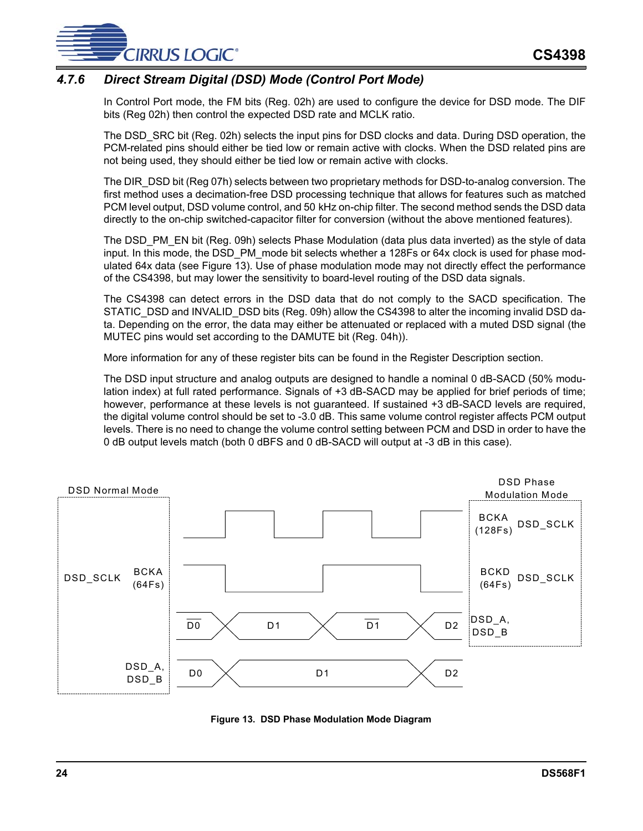

## *4.7.6 Direct Stream Digital (DSD) Mode (Control Port Mode)*

In Control Port mode, the FM bits (Reg. 02h) are used to configure the device for DSD mode. The DIF bits (Reg 02h) then control the expected DSD rate and MCLK ratio.

The DSD\_SRC bit (Reg. 02h) selects the input pins for DSD clocks and data. During DSD operation, the PCM-related pins should either be tied low or remain active with clocks. When the DSD related pins are not being used, they should either be tied low or remain active with clocks.

The DIR\_DSD bit (Reg 07h) selects between two proprietary methods for DSD-to-analog conversion. The first method uses a decimation-free DSD processing technique that allows for features such as matched PCM level output, DSD volume control, and 50 kHz on-chip filter. The second method sends the DSD data directly to the on-chip switched-capacitor filter for conversion (without the above mentioned features).

The DSD, PM, EN bit (Reg. 09h) selects Phase Modulation (data plus data inverted) as the style of data input. In this mode, the DSD\_PM\_mode bit selects whether a 128Fs or 64x clock is used for phase modulated 64x data (see Figure [13\)](#page-23-0). Use of phase modulation mode may not directly effect the performance of the CS4398, but may lower the sensitivity to board-level routing of the DSD data signals.

The CS4398 can detect errors in the DSD data that do not comply to the SACD specification. The STATIC\_DSD and INVALID\_DSD bits (Reg. 09h) allow the CS4398 to alter the incoming invalid DSD data. Depending on the error, the data may either be attenuated or replaced with a muted DSD signal (the MUTEC pins would set according to the DAMUTE bit (Reg. 04h)).

More information for any of these register bits can be found in the [Register Description](#page-28-3) section.

The DSD input structure and analog outputs are designed to handle a nominal 0 dB-SACD (50% modulation index) at full rated performance. Signals of +3 dB-SACD may be applied for brief periods of time; however, performance at these levels is not guaranteed. If sustained +3 dB-SACD levels are required, the digital volume control should be set to -3.0 dB. This same volume control register affects PCM output levels. There is no need to change the volume control setting between PCM and DSD in order to have the 0 dB output levels match (both 0 dBFS and 0 dB-SACD will output at -3 dB in this case).



<span id="page-23-0"></span>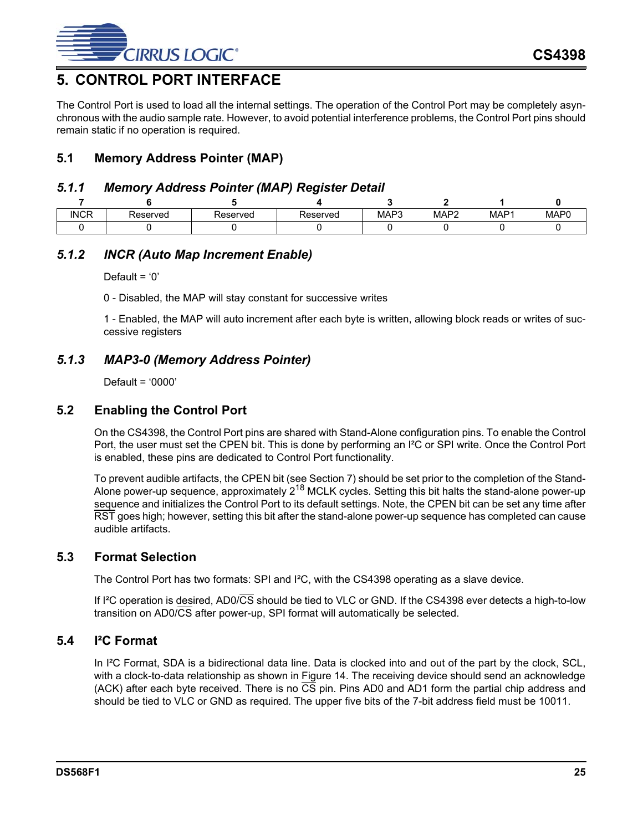

# <span id="page-24-0"></span>**5. CONTROL PORT INTERFACE**

The Control Port is used to load all the internal settings. The operation of the Control Port may be completely asynchronous with the audio sample rate. However, to avoid potential interference problems, the Control Port pins should remain static if no operation is required.

## <span id="page-24-1"></span>**5.1 Memory Address Pointer (MAP)**

#### *5.1.1 Memory Address Pointer (MAP) Register Detail*

|             |          |          | -        |      |                  |                  |      |
|-------------|----------|----------|----------|------|------------------|------------------|------|
| <b>INCR</b> | Reserved | Reserved | Reserved | MAP3 | MAP <sub>2</sub> | MAP <sub>1</sub> | MAP0 |
|             |          |          |          |      |                  |                  |      |

## *5.1.2 INCR (Auto Map Increment Enable)*

Default =  $'0'$ 

0 - Disabled, the MAP will stay constant for successive writes

1 - Enabled, the MAP will auto increment after each byte is written, allowing block reads or writes of successive registers

## *5.1.3 MAP3-0 (Memory Address Pointer)*

Default = '0000'

#### <span id="page-24-2"></span>**5.2 Enabling the Control Port**

On the CS4398, the Control Port pins are shared with Stand-Alone configuration pins. To enable the Control Port, the user must set the CPEN bit. This is done by performing an I²C or SPI write. Once the Control Port is enabled, these pins are dedicated to Control Port functionality.

To prevent audible artifacts, the CPEN bit (see Section [7\)](#page-28-3) should be set prior to the completion of the Stand-Alone power-up sequence, approximately  $2^{18}$  MCLK cycles. Setting this bit halts the stand-alone power-up sequence and initializes the Control Port to its default settings. Note, the CPEN bit can be set any time after RST goes high; however, setting this bit after the stand-alone power-up sequence has completed can cause audible artifacts.

#### <span id="page-24-3"></span>**5.3 Format Selection**

The Control Port has two formats: SPI and I²C, with the CS4398 operating as a slave device.

If I²C operation is desired, AD0/CS should be tied to VLC or GND. If the CS4398 ever detects a high-to-low transition on AD0/CS after power-up, SPI format will automatically be selected.

#### <span id="page-24-4"></span>**5.4 I²C Format**

In I<sup>2</sup>C Format, SDA is a bidirectional data line. Data is clocked into and out of the part by the clock, SCL, with a clock-to-data relationship as shown in Figure [14.](#page-25-1) The receiving device should send an acknowledge (ACK) after each byte received. There is no CS pin. Pins AD0 and AD1 form the partial chip address and should be tied to VLC or GND as required. The upper five bits of the 7-bit address field must be 10011.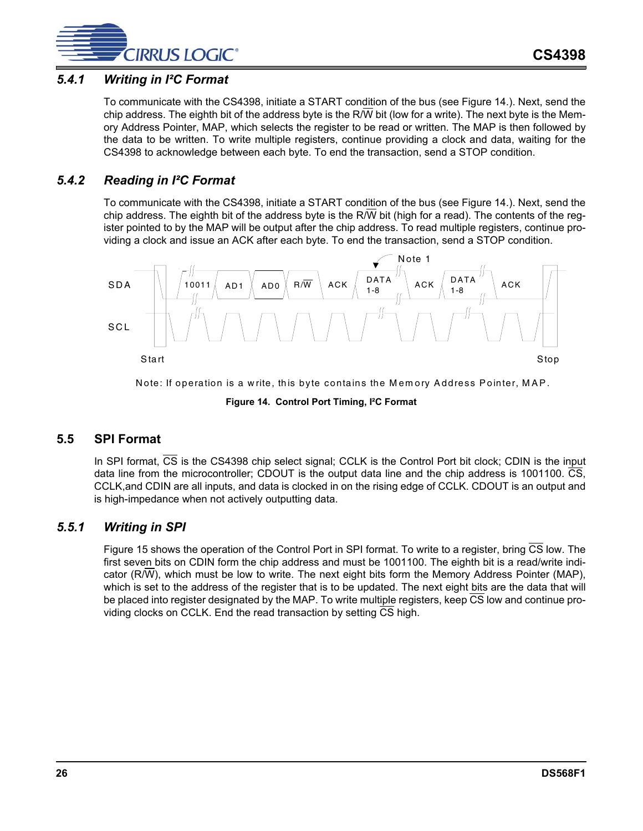

## *5.4.1 Writing in I²C Format*

To communicate with the CS4398, initiate a START condition of the bus (see [Figure 14.\)](#page-25-1). Next, send the chip address. The eighth bit of the address byte is the R/W bit (low for a write). The next byte is the Memory Address Pointer, MAP, which selects the register to be read or written. The MAP is then followed by the data to be written. To write multiple registers, continue providing a clock and data, waiting for the CS4398 to acknowledge between each byte. To end the transaction, send a STOP condition.

#### *5.4.2 Reading in I²C Format*

To communicate with the CS4398, initiate a START condition of the bus (see [Figure 14.\)](#page-25-1). Next, send the chip address. The eighth bit of the address byte is the R/W bit (high for a read). The contents of the register pointed to by the MAP will be output after the chip address. To read multiple registers, continue providing a clock and issue an ACK after each byte. To end the transaction, send a STOP condition.



Note: If operation is a write, this byte contains the M em ory Address Pointer, M AP.

**Figure 14. Control Port Timing, I²C Format**

#### <span id="page-25-1"></span><span id="page-25-0"></span>**5.5 SPI Format**

In SPI format,  $\overline{CS}$  is the CS4398 chip select signal; CCLK is the Control Port bit clock; CDIN is the input data line from the microcontroller; CDOUT is the output data line and the chip address is 1001100. CS, CCLK,and CDIN are all inputs, and data is clocked in on the rising edge of CCLK. CDOUT is an output and is high-impedance when not actively outputting data.

#### *5.5.1 Writing in SPI*

Figure [15](#page-26-0) shows the operation of the Control Port in SPI format. To write to a register, bring  $\overline{CS}$  low. The first seven bits on CDIN form the chip address and must be 1001100. The eighth bit is a read/write indicator (R/W), which must be low to write. The next eight bits form the Memory Address Pointer (MAP), which is set to the address of the register that is to be updated. The next eight bits are the data that will be placed into register designated by the MAP. To write multiple registers, keep  $\overline{CS}$  low and continue providing clocks on CCLK. End the read transaction by setting CS high.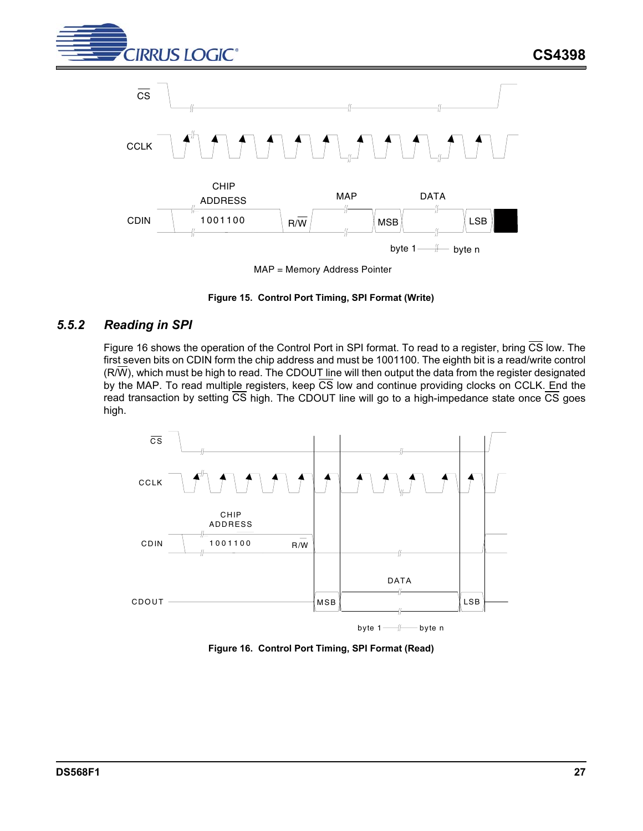



MAP = Memory Address Pointer

#### **Figure 15. Control Port Timing, SPI Format (Write)**

#### <span id="page-26-0"></span>*5.5.2 Reading in SPI*

Figure [16](#page-26-1) shows the operation of the Control Port in SPI format. To read to a register, bring  $\overline{\text{CS}}$  low. The first seven bits on CDIN form the chip address and must be 1001100. The eighth bit is a read/write control  $(R/\overline{W})$ , which must be high to read. The CDOUT line will then output the data from the register designated by the MAP. To read multiple registers, keep  $\overline{CS}$  low and continue providing clocks on CCLK. End the read transaction by setting  $\overline{CS}$  high. The CDOUT line will go to a high-impedance state once  $\overline{CS}$  goes high.



<span id="page-26-1"></span>**Figure 16. Control Port Timing, SPI Format (Read)**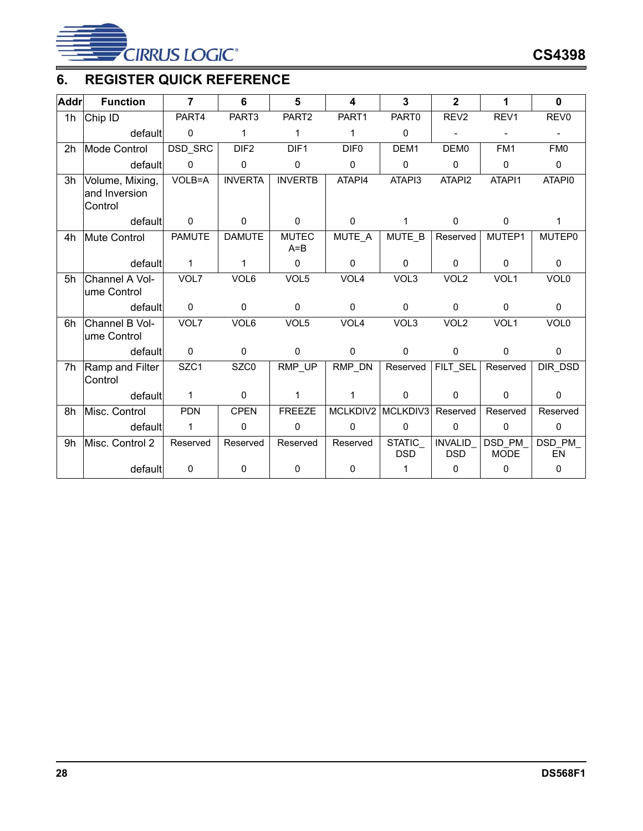

# <span id="page-27-0"></span>**6. REGISTER QUICK REFERENCE**

| <b>Addr</b>    | <b>Function</b>                             | $\overline{7}$ | 6                | 5                       | 4                | 3                           | $\overline{2}$               | 1                      | $\mathbf{0}$        |
|----------------|---------------------------------------------|----------------|------------------|-------------------------|------------------|-----------------------------|------------------------------|------------------------|---------------------|
| 1 <sub>h</sub> | Chip ID                                     | PART4          | PART3            | PART2                   | PART1            | PART0                       | REV <sub>2</sub>             | REV1                   | REV <sub>0</sub>    |
|                | default                                     | $\mathbf 0$    | $\mathbf{1}$     | $\mathbf{1}$            | $\mathbf{1}$     | 0                           | $\overline{\phantom{0}}$     |                        |                     |
| 2h             | Mode Control                                | DSD_SRC        | DIF <sub>2</sub> | DIF1                    | DIF <sub>0</sub> | DEM1                        | DEM <sub>0</sub>             | FM1                    | FM <sub>0</sub>     |
|                | default                                     | $\mathbf 0$    | $\mathbf 0$      | 0                       | $\mathbf 0$      | $\mathbf 0$                 | $\mathbf 0$                  | $\mathbf{0}$           | $\mathbf{0}$        |
| 3h             | Volume, Mixing,<br>and Inversion<br>Control | $VOLB = A$     | <b>INVERTA</b>   | <b>INVERTB</b>          | ATAPI4           | ATAPI3                      | ATAPI2                       | ATAPI1                 | ATAPI0              |
|                | default                                     | $\mathbf{0}$   | $\mathbf{0}$     | $\mathbf 0$             | $\mathbf 0$      | $\mathbf{1}$                | $\mathbf 0$                  | $\mathbf 0$            | $\mathbf{1}$        |
| 4h             | Mute Control                                | <b>PAMUTE</b>  | <b>DAMUTE</b>    | <b>MUTEC</b><br>$A = B$ | MUTE A           | MUTE B                      | Reserved                     | MUTEP1                 | <b>MUTEP0</b>       |
|                | default                                     | 1              | 1                | $\mathbf 0$             | $\mathbf{0}$     | $\mathbf{0}$                | $\mathbf 0$                  | $\mathbf{0}$           | $\Omega$            |
| 5h             | Channel A Vol-<br>ume Control               | VOL7           | VOL6             | VOL5                    | VOL <sub>4</sub> | VOL3                        | VOL <sub>2</sub>             | VOL1                   | VOL <sub>0</sub>    |
|                | default                                     | $\mathbf 0$    | $\mathbf 0$      | $\mathbf 0$             | $\mathbf{0}$     | 0                           | $\mathbf 0$                  | $\mathbf{0}$           | $\mathbf 0$         |
| 6h             | Channel B Vol-<br>ume Control               | VOL7           | VOL6             | VOL5                    | VOL <sub>4</sub> | VOL3                        | VOL <sub>2</sub>             | VOL1                   | VOL <sub>0</sub>    |
|                | default                                     | $\mathbf 0$    | $\mathbf 0$      | 0                       | $\mathbf{0}$     | $\mathbf 0$                 | $\mathbf 0$                  | $\mathbf 0$            | 0                   |
| 7h             | Ramp and Filter<br>Control                  | SZC1           | SZC0             | RMP_UP                  | RMP_DN           | Reserved                    | FILT_SEL                     | Reserved               | DIR DSD             |
|                | default                                     | $\mathbf{1}$   | $\mathbf 0$      | $\mathbf 1$             | 1                | $\mathbf 0$                 | $\mathbf 0$                  | $\mathbf 0$            | 0                   |
| 8h             | Misc. Control                               | <b>PDN</b>     | <b>CPEN</b>      | <b>FREEZE</b>           | MCLKDIV2         | MCLKDIV3                    | Reserved                     | Reserved               | Reserved            |
|                | default                                     | 1              | $\mathbf 0$      | 0                       | $\mathbf{0}$     | 0                           | $\mathbf 0$                  | $\mathbf 0$            | $\mathbf 0$         |
| 9h             | Misc. Control 2                             | Reserved       | Reserved         | Reserved                | Reserved         | <b>STATIC</b><br><b>DSD</b> | <b>INVALID</b><br><b>DSD</b> | DSD_PM_<br><b>MODE</b> | DSD PM<br><b>EN</b> |
|                | default                                     | 0              | $\pmb{0}$        | 0                       | $\mathbf 0$      | $\mathbf{1}$                | $\mathbf 0$                  | $\mathbf 0$            | $\Omega$            |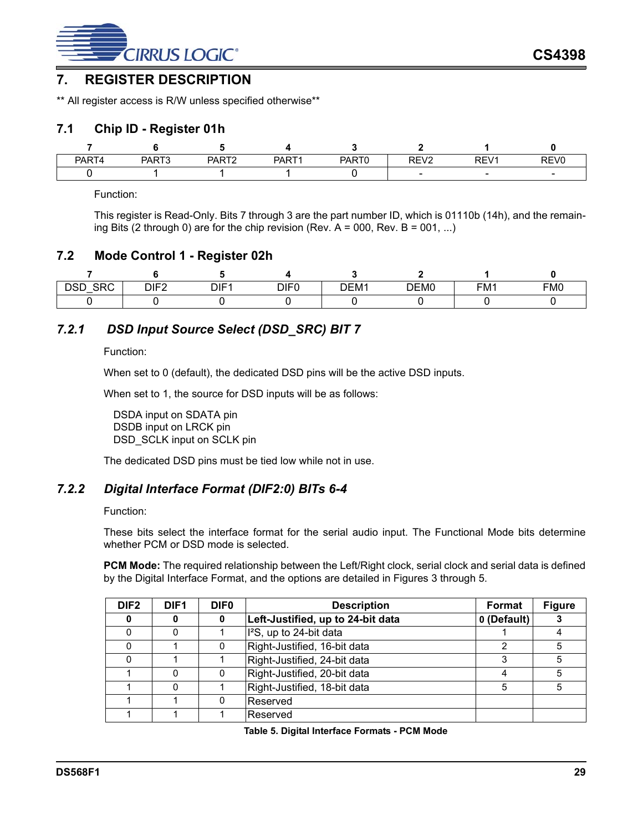

## <span id="page-28-3"></span>**7. REGISTER DESCRIPTION**

\*\* All register access is R/W unless specified otherwise\*\*

#### <span id="page-28-0"></span>**7.1 Chip ID - Register 01h**

| PART4 | PART3 | <b>PART?</b><br>$\mathbf{u}$ | PART1 | PART <sub>0</sub> | RFV2<br>∼<br>. L | REV1 | REV <sub>0</sub> |
|-------|-------|------------------------------|-------|-------------------|------------------|------|------------------|
|       |       |                              |       |                   | -                | -    |                  |

Function:

This register is Read-Only. Bits 7 through 3 are the part number ID, which is 01110b (14h), and the remaining Bits (2 through 0) are for the chip revision (Rev. A = 000, Rev. B = 001, ...)

#### <span id="page-28-1"></span>**7.2 Mode Control 1 - Register 02h**

| CDO<br><b>DOP</b><br>שפט<br>orc<br>$\overline{\phantom{0}}$ | DIF <sub>2</sub><br>- | DIF | DIF0 | DEM <sub>1</sub> | DEM0 | FM1 | FM <sub>0</sub> |
|-------------------------------------------------------------|-----------------------|-----|------|------------------|------|-----|-----------------|
|                                                             |                       |     |      |                  |      |     |                 |

## *7.2.1 DSD Input Source Select (DSD\_SRC) BIT 7*

Function:

When set to 0 (default), the dedicated DSD pins will be the active DSD inputs.

When set to 1, the source for DSD inputs will be as follows:

DSDA input on SDATA pin DSDB input on LRCK pin DSD\_SCLK input on SCLK pin

The dedicated DSD pins must be tied low while not in use.

## *7.2.2 Digital Interface Format (DIF2:0) BITs 6-4*

#### Function:

These bits select the interface format for the serial audio input. The Functional Mode bits determine whether PCM or DSD mode is selected.

PCM Mode: The required relationship between the Left/Right clock, serial clock and serial data is defined by the Digital Interface Format, and the options are detailed in Figures [3](#page-12-0) through [5.](#page-12-2)

<span id="page-28-2"></span>

| DIF <sub>2</sub> | DIF <sub>1</sub> | <b>DIF0</b> | <b>Description</b>                  | Format      | <b>Figure</b> |
|------------------|------------------|-------------|-------------------------------------|-------------|---------------|
| 0                |                  | 0           | Left-Justified, up to 24-bit data   | 0 (Default) |               |
|                  |                  |             | I <sup>2</sup> S, up to 24-bit data |             |               |
|                  |                  |             | Right-Justified, 16-bit data        | 2           | 5             |
|                  |                  |             | Right-Justified, 24-bit data        | 3           | 5             |
|                  |                  |             | Right-Justified, 20-bit data        |             | 5             |
|                  |                  |             | Right-Justified, 18-bit data        | 5           | 5             |
|                  |                  |             | Reserved                            |             |               |
|                  |                  |             | Reserved                            |             |               |

**Table 5. Digital Interface Formats - PCM Mode**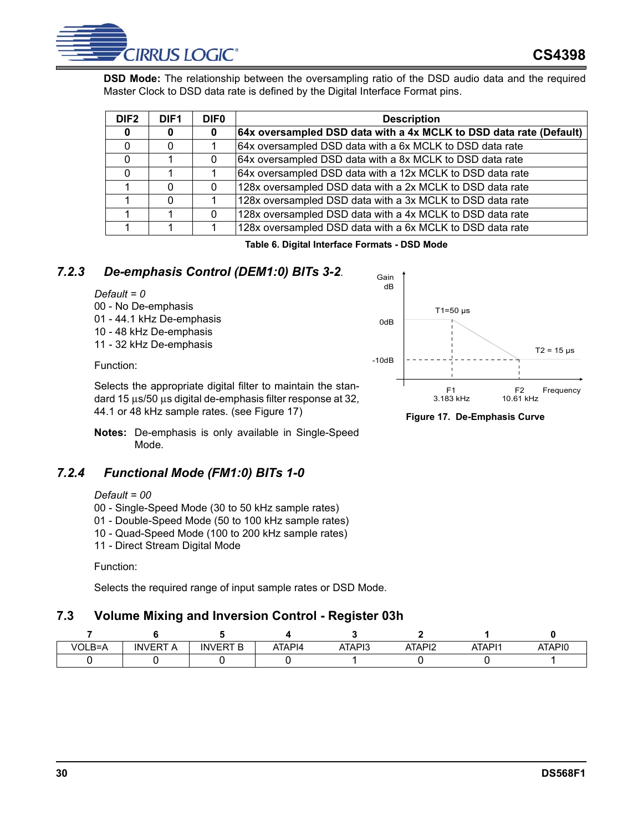**DSD Mode:** The relationship between the oversampling ratio of the DSD audio data and the required Master Clock to DSD data rate is defined by the Digital Interface Format pins.

| DIF <sub>2</sub> | DIF <sub>1</sub> | <b>DIFO</b> | <b>Description</b>                                                 |
|------------------|------------------|-------------|--------------------------------------------------------------------|
| 0                | 0                | 0           | 64x oversampled DSD data with a 4x MCLK to DSD data rate (Default) |
|                  | 0                |             | 64x oversampled DSD data with a 6x MCLK to DSD data rate           |
|                  |                  | $\Omega$    | 64x oversampled DSD data with a 8x MCLK to DSD data rate           |
|                  |                  |             | 64x oversampled DSD data with a 12x MCLK to DSD data rate          |
|                  | $\Omega$         |             | 128x oversampled DSD data with a 2x MCLK to DSD data rate          |
|                  | $\Omega$         |             | 128x oversampled DSD data with a 3x MCLK to DSD data rate          |
|                  |                  | $\Omega$    | 128x oversampled DSD data with a 4x MCLK to DSD data rate          |
|                  |                  |             | 128x oversampled DSD data with a 6x MCLK to DSD data rate          |

**Table 6. Digital Interface Formats - DSD Mode**

## *7.2.3 De-emphasis Control (DEM1:0) BITs 3-2.*

#### <span id="page-29-2"></span>*Default = 0*

00 - No De-emphasis 01 - 44.1 kHz De-emphasis 10 - 48 kHz De-emphasis 11 - 32 kHz De-emphasis

Function:

Selects the appropriate digital filter to maintain the standard 15 µs/50 µs digital de-emphasis filter response at 32, 44.1 or 48 kHz sample rates. (see Figure [17\)](#page-29-1)

**Notes:** De-emphasis is only available in Single-Speed Mode.

## *7.2.4 Functional Mode (FM1:0) BITs 1-0*

#### *Default = 00*

- 00 Single-Speed Mode (30 to 50 kHz sample rates)
- 01 Double-Speed Mode (50 to 100 kHz sample rates)
- 10 Quad-Speed Mode (100 to 200 kHz sample rates)
- 11 Direct Stream Digital Mode

#### Function:

Selects the required range of input sample rates or DSD Mode.

## <span id="page-29-0"></span>**7.3 Volume Mixing and Inversion Control - Register 03h**

| VOLB=A | <b>INVERT</b><br>A | <b>INVERT B</b> | ATAPI4 | ATAPI3 | ATAPI2 | ATAPI1 | ATAPI0 |
|--------|--------------------|-----------------|--------|--------|--------|--------|--------|
|        |                    |                 |        |        |        |        |        |



<span id="page-29-1"></span>**Figure 17. De-Emphasis Curve**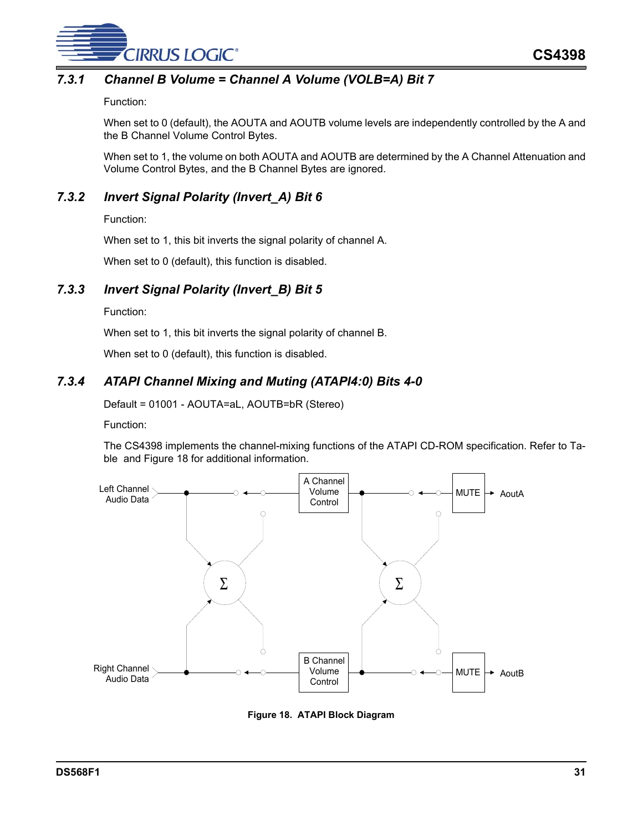

## *7.3.1 Channel B Volume = Channel A Volume (VOLB=A) Bit 7*

Function:

When set to 0 (default), the AOUTA and AOUTB volume levels are independently controlled by the A and the B Channel Volume Control Bytes.

When set to 1, the volume on both AOUTA and AOUTB are determined by the A Channel Attenuation and Volume Control Bytes, and the B Channel Bytes are ignored.

## *7.3.2 Invert Signal Polarity (Invert\_A) Bit 6*

Function:

When set to 1, this bit inverts the signal polarity of channel A.

When set to 0 (default), this function is disabled.

## *7.3.3 Invert Signal Polarity (Invert\_B) Bit 5*

Function:

When set to 1, this bit inverts the signal polarity of channel B.

When set to 0 (default), this function is disabled.

## *7.3.4 ATAPI Channel Mixing and Muting (ATAPI4:0) Bits 4-0*

Default = 01001 - AOUTA=aL, AOUTB=bR (Stereo)

Function:

The CS4398 implements the channel-mixing functions of the ATAPI CD-ROM specification. Refer to Table and Figure [18](#page-30-0) for additional information.



<span id="page-30-0"></span>**Figure 18. ATAPI Block Diagram**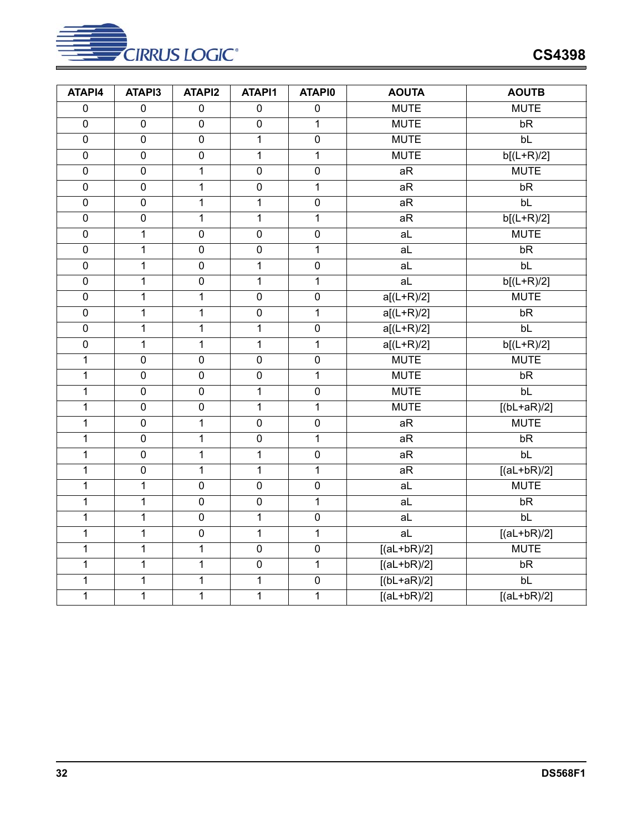

| ATAPI4         | ATAPI3         | ATAPI2         | <b>ATAPI1</b>  | <b>ATAPIO</b>  | <b>AOUTA</b>   | <b>AOUTB</b>    |
|----------------|----------------|----------------|----------------|----------------|----------------|-----------------|
| $\overline{0}$ | $\overline{0}$ | $\overline{0}$ | $\overline{0}$ | $\overline{0}$ | <b>MUTE</b>    | <b>MUTE</b>     |
| $\overline{0}$ | $\overline{0}$ | $\overline{0}$ | $\overline{0}$ | $\overline{1}$ | <b>MUTE</b>    | bR              |
| $\overline{0}$ | $\overline{0}$ | $\overline{0}$ | $\overline{1}$ | $\overline{0}$ | <b>MUTE</b>    | bl              |
| $\overline{0}$ | $\overline{0}$ | $\overline{0}$ | $\overline{1}$ | $\mathbf{1}$   | <b>MUTE</b>    | $b[(L+R)/2]$    |
| $\overline{0}$ | $\overline{0}$ | 1              | $\overline{0}$ | $\overline{0}$ | aR             | <b>MUTE</b>     |
| $\overline{0}$ | $\overline{0}$ | 1              | $\overline{0}$ | $\mathbf{1}$   | aR             | bR              |
| $\overline{0}$ | $\overline{0}$ | $\mathbf 1$    | $\mathbf{1}$   | $\overline{0}$ | aR             | bL              |
| $\overline{0}$ | $\overline{0}$ | 1              | $\overline{1}$ | 1              | aR             | $b[(L+R)/2]$    |
| $\overline{0}$ | $\overline{1}$ | $\overline{0}$ | $\overline{0}$ | $\overline{0}$ | $\overline{a}$ | <b>MUTE</b>     |
| $\overline{0}$ | $\mathbf{1}$   | $\overline{0}$ | $\overline{0}$ | $\overline{1}$ | $\overline{a}$ | bR              |
| $\overline{0}$ | $\overline{1}$ | $\overline{0}$ | $\overline{1}$ | $\overline{0}$ | aL             | bl              |
| $\overline{0}$ | $\overline{1}$ | $\overline{0}$ | $\overline{1}$ | $\mathbf{1}$   | $\overline{a}$ | $b[(L+R)/2]$    |
| $\overline{0}$ | $\overline{1}$ | $\overline{1}$ | $\overline{0}$ | $\overline{0}$ | $a[(L+R)/2]$   | <b>MUTE</b>     |
| $\overline{0}$ | $\overline{1}$ | $\overline{1}$ | $\overline{0}$ | $\overline{1}$ | $a[(L+R)/2]$   | bR              |
| $\overline{0}$ | $\overline{1}$ | $\overline{1}$ | $\overline{1}$ | $\overline{0}$ | $a[(L+R)/2]$   | bL              |
| $\overline{0}$ | $\mathbf{1}$   | 1              | $\overline{1}$ | $\mathbf{1}$   | $a[(L+R)/2]$   | $b[(L+R)/2]$    |
| $\overline{1}$ | $\overline{0}$ | $\overline{0}$ | $\overline{0}$ | $\overline{0}$ | <b>MUTE</b>    | <b>MUTE</b>     |
| $\mathbf 1$    | $\overline{0}$ | $\overline{0}$ | $\overline{0}$ | $\mathbf{1}$   | <b>MUTE</b>    | bR              |
| $\mathbf 1$    | $\overline{0}$ | $\overline{0}$ | $\overline{1}$ | $\overline{0}$ | <b>MUTE</b>    | bl              |
| 1              | $\pmb{0}$      | $\overline{0}$ | $\mathbf{1}$   | 1              | <b>MUTE</b>    | $[(bL+aR)/2]$   |
| $\mathbf 1$    | $\overline{0}$ | 1              | $\overline{0}$ | $\overline{0}$ | aR             | <b>MUTE</b>     |
| $\overline{1}$ | $\overline{0}$ | $\overline{1}$ | $\overline{0}$ | $\overline{1}$ | aR             | bR              |
| $\overline{1}$ | $\overline{0}$ | $\overline{1}$ | $\overline{1}$ | $\overline{0}$ | aR             | $b\overline{L}$ |
| $\mathbf{1}$   | $\overline{0}$ | $\overline{1}$ | $\overline{1}$ | $\mathbf{1}$   | aR             | $[(al+bR)/2]$   |
| $\overline{1}$ | $\overline{1}$ | $\overline{0}$ | $\overline{0}$ | $\overline{0}$ | $\overline{a}$ | <b>MUTE</b>     |
| $\overline{1}$ | $\overline{1}$ | $\overline{0}$ | $\overline{0}$ | 1              | aL             | bR              |
| $\mathbf 1$    | $\overline{1}$ | $\overline{0}$ | $\overline{1}$ | $\overline{0}$ | aL             | bL              |
| $\mathbf 1$    | $\mathbf{1}$   | $\overline{0}$ | $\mathbf{1}$   | $\mathbf{1}$   | a <sub>L</sub> | $[(al+bR)/2]$   |
| $\overline{1}$ | $\overline{1}$ | $\overline{1}$ | $\overline{0}$ | $\overline{0}$ | $[(al+bR)/2]$  | <b>MUTE</b>     |
| $\overline{1}$ | $\overline{1}$ | $\overline{1}$ | $\overline{0}$ | $\overline{1}$ | $[(aL+bR)/2]$  | bR              |
| $\mathbf 1$    | $\mathbf{1}$   | 1              | $\overline{1}$ | $\overline{0}$ | $[(bL+aR)/2]$  | bL              |
| $\overline{1}$ | $\overline{1}$ | $\overline{1}$ | $\overline{1}$ | 1              | $[(al+bR)/2]$  | $[(al+bR)/2]$   |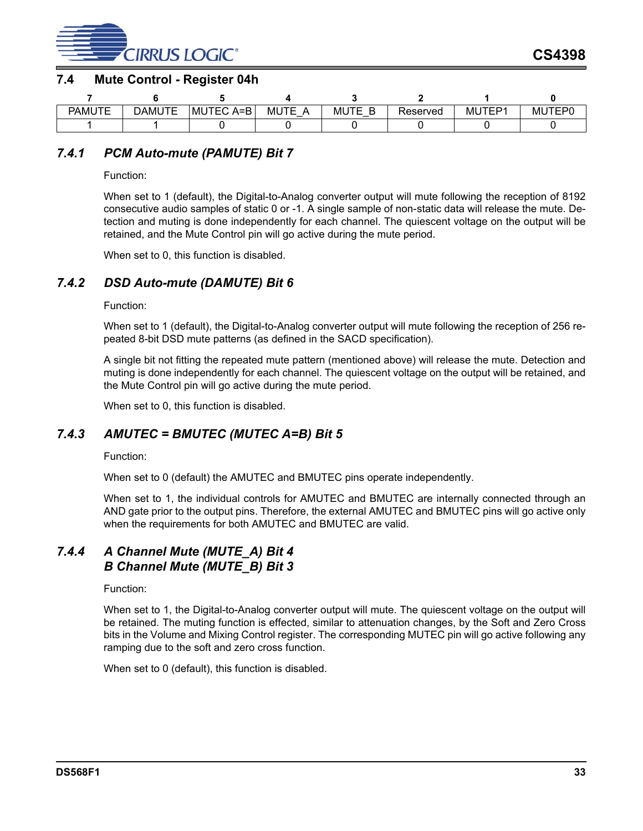

#### <span id="page-32-0"></span>**7.4 Mute Control - Register 04h**

| <b>PAMUTE</b> | JTE<br>DAMU | JTEC A=B<br>MU | ITF<br><b>MU</b><br><u>_</u><br>_ | <b>MUTE</b><br>∽<br>$\overline{\phantom{0}}$ | Reserved | TEP1<br><b>MU</b> | MUTEP0 |
|---------------|-------------|----------------|-----------------------------------|----------------------------------------------|----------|-------------------|--------|
|               |             |                |                                   |                                              |          |                   |        |

## *7.4.1 PCM Auto-mute (PAMUTE) Bit 7*

Function:

When set to 1 (default), the Digital-to-Analog converter output will mute following the reception of 8192 consecutive audio samples of static 0 or -1. A single sample of non-static data will release the mute. Detection and muting is done independently for each channel. The quiescent voltage on the output will be retained, and the Mute Control pin will go active during the mute period.

When set to 0, this function is disabled.

## *7.4.2 DSD Auto-mute (DAMUTE) Bit 6*

Function:

When set to 1 (default), the Digital-to-Analog converter output will mute following the reception of 256 repeated 8-bit DSD mute patterns (as defined in the SACD specification).

A single bit not fitting the repeated mute pattern (mentioned above) will release the mute. Detection and muting is done independently for each channel. The quiescent voltage on the output will be retained, and the Mute Control pin will go active during the mute period.

When set to 0, this function is disabled.

## *7.4.3 AMUTEC = BMUTEC (MUTEC A=B) Bit 5*

Function:

When set to 0 (default) the AMUTEC and BMUTEC pins operate independently.

When set to 1, the individual controls for AMUTEC and BMUTEC are internally connected through an AND gate prior to the output pins. Therefore, the external AMUTEC and BMUTEC pins will go active only when the requirements for both AMUTEC and BMUTEC are valid.

## *7.4.4 A Channel Mute (MUTE\_A) Bit 4 B Channel Mute (MUTE\_B) Bit 3*

Function:

When set to 1, the Digital-to-Analog converter output will mute. The quiescent voltage on the output will be retained. The muting function is effected, similar to attenuation changes, by the Soft and Zero Cross bits in the Volume and Mixing Control register. The corresponding MUTEC pin will go active following any ramping due to the soft and zero cross function.

When set to 0 (default), this function is disabled.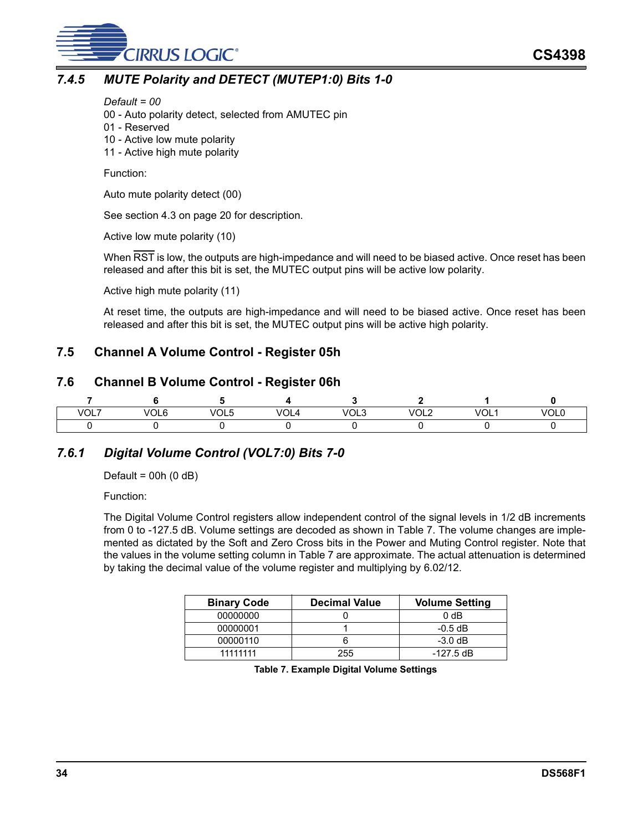

## *7.4.5 MUTE Polarity and DETECT (MUTEP1:0) Bits 1-0*

#### *Default = 00*

00 - Auto polarity detect, selected from AMUTEC pin

- 01 Reserved
- 10 Active low mute polarity
- 11 Active high mute polarity

Function:

Auto mute polarity detect (00)

See section [4.3](#page-19-3) on [page 20](#page-19-3) for description.

Active low mute polarity (10)

When RST is low, the outputs are high-impedance and will need to be biased active. Once reset has been released and after this bit is set, the MUTEC output pins will be active low polarity.

Active high mute polarity (11)

At reset time, the outputs are high-impedance and will need to be biased active. Once reset has been released and after this bit is set, the MUTEC output pins will be active high polarity.

## <span id="page-33-0"></span>**7.5 Channel A Volume Control - Register 05h**

#### <span id="page-33-1"></span>**7.6 Channel B Volume Control - Register 06h**

| VOL7 | <b>VOLt</b> | $V \cap F$<br>∪∟ט | $\overline{M}$<br>м<br>ັ | <b>VOL.</b> | MOLC<br>◡└└ | VOL<br>'UL1 | '/OLL |
|------|-------------|-------------------|--------------------------|-------------|-------------|-------------|-------|
|      |             |                   |                          |             |             |             |       |

## <span id="page-33-3"></span>*7.6.1 Digital Volume Control (VOL7:0) Bits 7-0*

Default =  $00h(0 dB)$ 

Function:

The Digital Volume Control registers allow independent control of the signal levels in 1/2 dB increments from 0 to -127.5 dB. Volume settings are decoded as shown in Table [7](#page-33-2). The volume changes are implemented as dictated by the Soft and Zero Cross bits in the Power and Muting Control register. Note that the values in the volume setting column in Table [7](#page-33-2) are approximate. The actual attenuation is determined by taking the decimal value of the volume register and multiplying by 6.02/12.

<span id="page-33-2"></span>

| <b>Binary Code</b> | <b>Decimal Value</b> | <b>Volume Setting</b> |
|--------------------|----------------------|-----------------------|
| 00000000           |                      | 0 <sub>d</sub> B      |
| 00000001           |                      | $-0.5$ dB             |
| 00000110           |                      | $-3.0$ dB             |
| 11111111           | 255                  | -127.5 dB             |

**Table 7. Example Digital Volume Settings**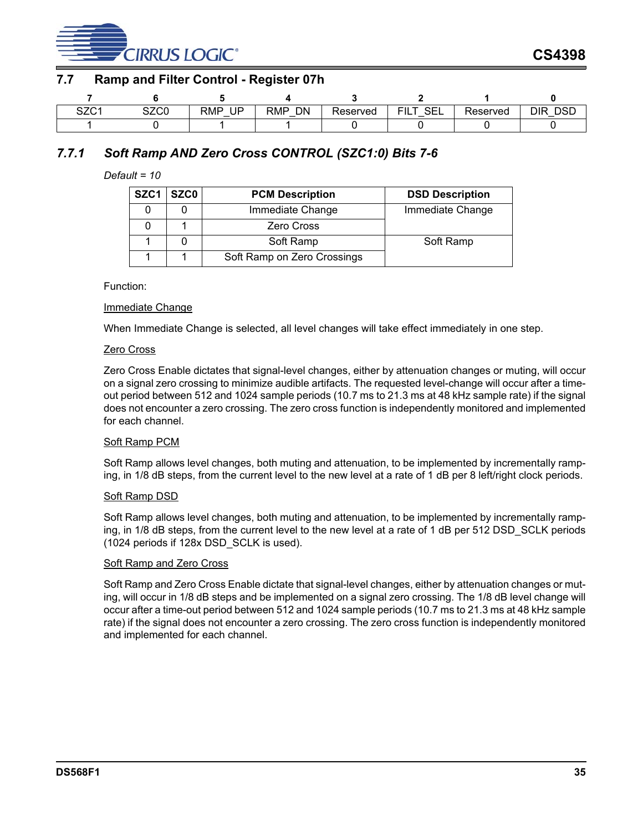

## <span id="page-34-0"></span>**7.7 Ramp and Filter Control - Register 07h**

| $\sim$ $\sim$ $\sim$ $\sim$<br>ںےں | $\sim$ 700<br>∪ب∟ت | <b>RMP</b><br>UP | DN<br>RMP<br>$\overline{\phantom{0}}$ | Reserved | $\cap$<br>╌<br>◡∟∟<br>.<br>_ | ∽<br>Reserved | DSD<br>DIR<br>- |
|------------------------------------|--------------------|------------------|---------------------------------------|----------|------------------------------|---------------|-----------------|
|                                    |                    |                  |                                       |          |                              |               |                 |

## *7.7.1 Soft Ramp AND Zero Cross CONTROL (SZC1:0) Bits 7-6*

#### *Default = 10*

| SZC <sub>1</sub> | <b>SZCO</b> | <b>PCM Description</b>      | <b>DSD Description</b> |
|------------------|-------------|-----------------------------|------------------------|
|                  |             | Immediate Change            | Immediate Change       |
|                  |             | <b>Zero Cross</b>           |                        |
|                  |             | Soft Ramp                   | Soft Ramp              |
|                  |             | Soft Ramp on Zero Crossings |                        |

Function:

#### Immediate Change

When Immediate Change is selected, all level changes will take effect immediately in one step.

#### Zero Cross

Zero Cross Enable dictates that signal-level changes, either by attenuation changes or muting, will occur on a signal zero crossing to minimize audible artifacts. The requested level-change will occur after a timeout period between 512 and 1024 sample periods (10.7 ms to 21.3 ms at 48 kHz sample rate) if the signal does not encounter a zero crossing. The zero cross function is independently monitored and implemented for each channel.

#### Soft Ramp PCM

Soft Ramp allows level changes, both muting and attenuation, to be implemented by incrementally ramping, in 1/8 dB steps, from the current level to the new level at a rate of 1 dB per 8 left/right clock periods.

#### Soft Ramp DSD

Soft Ramp allows level changes, both muting and attenuation, to be implemented by incrementally ramping, in 1/8 dB steps, from the current level to the new level at a rate of 1 dB per 512 DSD\_SCLK periods (1024 periods if 128x DSD\_SCLK is used).

#### Soft Ramp and Zero Cross

Soft Ramp and Zero Cross Enable dictate that signal-level changes, either by attenuation changes or muting, will occur in 1/8 dB steps and be implemented on a signal zero crossing. The 1/8 dB level change will occur after a time-out period between 512 and 1024 sample periods (10.7 ms to 21.3 ms at 48 kHz sample rate) if the signal does not encounter a zero crossing. The zero cross function is independently monitored and implemented for each channel.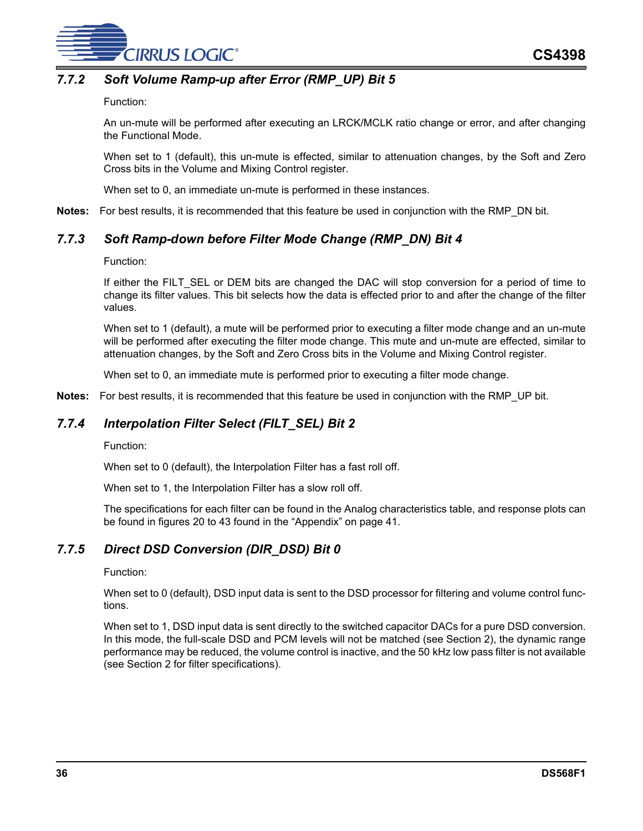

## *7.7.2 Soft Volume Ramp-up after Error (RMP\_UP) Bit 5*

#### Function:

An un-mute will be performed after executing an LRCK/MCLK ratio change or error, and after changing the Functional Mode.

When set to 1 (default), this un-mute is effected, similar to attenuation changes, by the Soft and Zero Cross bits in the Volume and Mixing Control register.

When set to 0, an immediate un-mute is performed in these instances.

**Notes:** For best results, it is recommended that this feature be used in conjunction with the RMP\_DN bit.

## *7.7.3 Soft Ramp-down before Filter Mode Change (RMP\_DN) Bit 4*

#### Function:

If either the FILT\_SEL or DEM bits are changed the DAC will stop conversion for a period of time to change its filter values. This bit selects how the data is effected prior to and after the change of the filter values.

When set to 1 (default), a mute will be performed prior to executing a filter mode change and an un-mute will be performed after executing the filter mode change. This mute and un-mute are effected, similar to attenuation changes, by the Soft and Zero Cross bits in the Volume and Mixing Control register.

When set to 0, an immediate mute is performed prior to executing a filter mode change.

**Notes:** For best results, it is recommended that this feature be used in conjunction with the RMP\_UP bit.

## *7.7.4 Interpolation Filter Select (FILT\_SEL) Bit 2*

Function:

When set to 0 (default), the Interpolation Filter has a fast roll off.

When set to 1, the Interpolation Filter has a slow roll off.

The specifications for each filter can be found in the Analog characteristics table, and response plots can be found in figures [20](#page-40-1) to [43](#page-43-5) found in the ["Appendix" on page 41.](#page-40-0)

## *7.7.5 Direct DSD Conversion (DIR\_DSD) Bit 0*

#### Function:

When set to 0 (default), DSD input data is sent to the DSD processor for filtering and volume control functions.

When set to 1, DSD input data is sent directly to the switched capacitor DACs for a pure DSD conversion. In this mode, the full-scale DSD and PCM levels will not be matched (see Section [2\)](#page-7-0), the dynamic range performance may be reduced, the volume control is inactive, and the 50 kHz low pass filter is not available (see Section [2](#page-7-0) for filter specifications).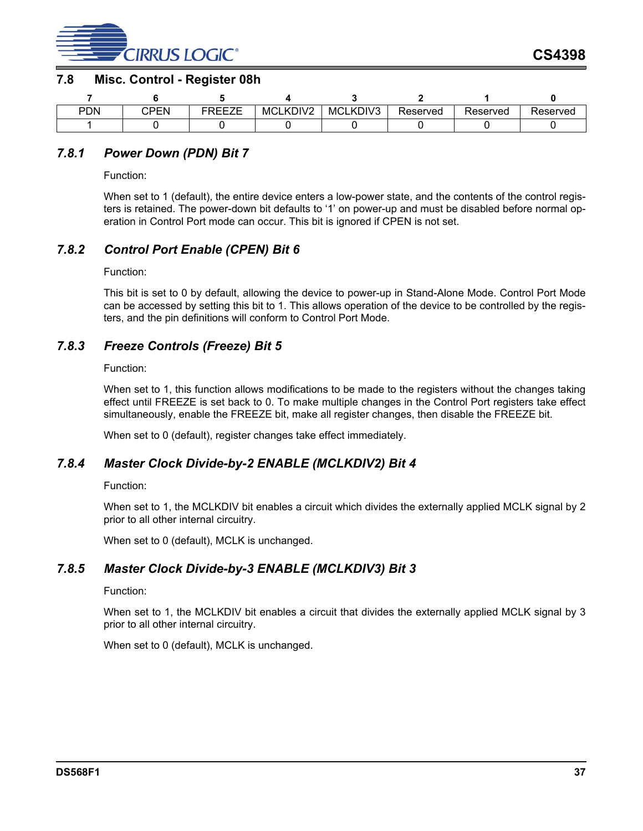

#### <span id="page-36-0"></span>**7.8 Misc. Control - Register 08h**

| <b>PDN</b> | `PFN | - - - - - -<br>___ | MCLKDIV2 | MCLKDIV3 | Reserved | Reserved | Reserved |
|------------|------|--------------------|----------|----------|----------|----------|----------|
|            |      |                    |          |          |          |          |          |

## *7.8.1 Power Down (PDN) Bit 7*

Function:

When set to 1 (default), the entire device enters a low-power state, and the contents of the control registers is retained. The power-down bit defaults to '1' on power-up and must be disabled before normal operation in Control Port mode can occur. This bit is ignored if CPEN is not set.

#### *7.8.2 Control Port Enable (CPEN) Bit 6*

Function:

This bit is set to 0 by default, allowing the device to power-up in Stand-Alone Mode. Control Port Mode can be accessed by setting this bit to 1. This allows operation of the device to be controlled by the registers, and the pin definitions will conform to Control Port Mode.

#### *7.8.3 Freeze Controls (Freeze) Bit 5*

Function:

When set to 1, this function allows modifications to be made to the registers without the changes taking effect until FREEZE is set back to 0. To make multiple changes in the Control Port registers take effect simultaneously, enable the FREEZE bit, make all register changes, then disable the FREEZE bit.

When set to 0 (default), register changes take effect immediately.

## *7.8.4 Master Clock Divide-by-2 ENABLE (MCLKDIV2) Bit 4*

Function:

When set to 1, the MCLKDIV bit enables a circuit which divides the externally applied MCLK signal by 2 prior to all other internal circuitry.

When set to 0 (default), MCLK is unchanged.

## *7.8.5 Master Clock Divide-by-3 ENABLE (MCLKDIV3) Bit 3*

Function:

When set to 1, the MCLKDIV bit enables a circuit that divides the externally applied MCLK signal by 3 prior to all other internal circuitry.

When set to 0 (default), MCLK is unchanged.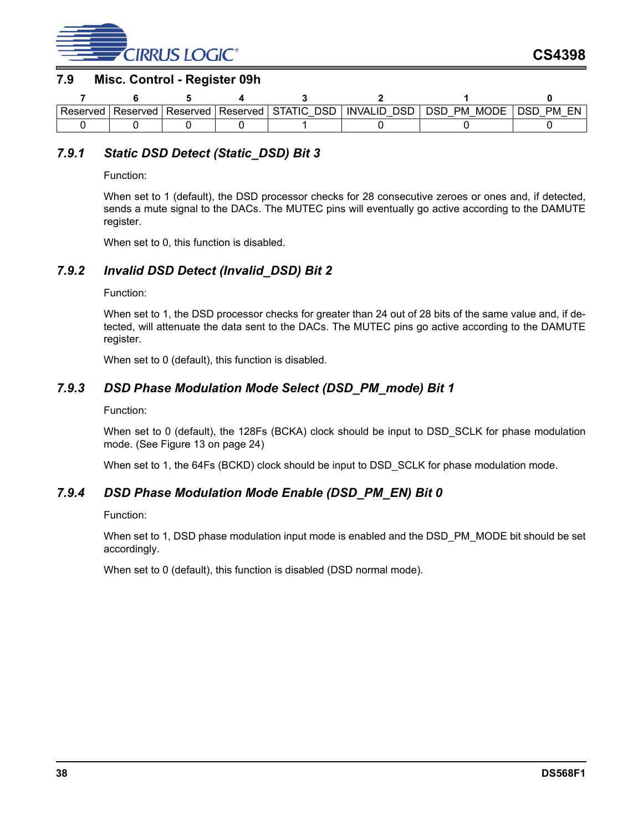

#### <span id="page-37-0"></span>**7.9 Misc. Control - Register 09h**

| Reserved | Reserved I | Reserved I | Reserved | <b>DSF</b><br>⊩STATIC | DSD<br><b>INVALID</b> | DSD<br>PM<br>MODE<br>- | EN<br>PM<br>nse |
|----------|------------|------------|----------|-----------------------|-----------------------|------------------------|-----------------|
|          |            |            |          |                       |                       |                        |                 |

## *7.9.1 Static DSD Detect (Static\_DSD) Bit 3*

Function:

When set to 1 (default), the DSD processor checks for 28 consecutive zeroes or ones and, if detected, sends a mute signal to the DACs. The MUTEC pins will eventually go active according to the DAMUTE register.

When set to 0, this function is disabled.

## *7.9.2 Invalid DSD Detect (Invalid\_DSD) Bit 2*

#### Function:

When set to 1, the DSD processor checks for greater than 24 out of 28 bits of the same value and, if detected, will attenuate the data sent to the DACs. The MUTEC pins go active according to the DAMUTE register.

When set to 0 (default), this function is disabled.

## *7.9.3 DSD Phase Modulation Mode Select (DSD\_PM\_mode) Bit 1*

Function:

When set to 0 (default), the 128Fs (BCKA) clock should be input to DSD\_SCLK for phase modulation mode. (See Figure [13](#page-23-0) on [page 24](#page-23-0))

When set to 1, the 64Fs (BCKD) clock should be input to DSD\_SCLK for phase modulation mode.

## *7.9.4 DSD Phase Modulation Mode Enable (DSD\_PM\_EN) Bit 0*

#### Function:

When set to 1, DSD phase modulation input mode is enabled and the DSD\_PM\_MODE bit should be set accordingly.

When set to 0 (default), this function is disabled (DSD normal mode).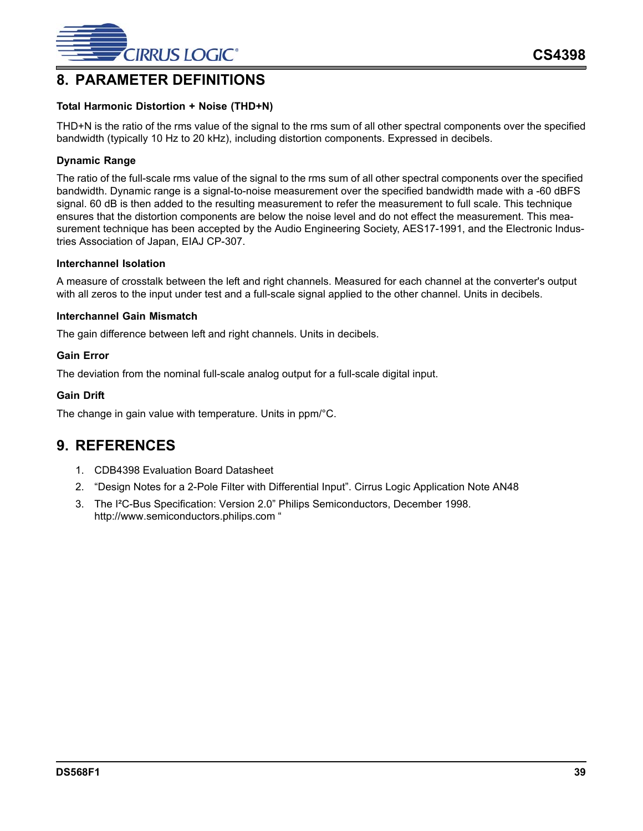

# <span id="page-38-0"></span>**8. PARAMETER DEFINITIONS**

#### **Total Harmonic Distortion + Noise (THD+N)**

THD+N is the ratio of the rms value of the signal to the rms sum of all other spectral components over the specified bandwidth (typically 10 Hz to 20 kHz), including distortion components. Expressed in decibels.

#### **Dynamic Range**

The ratio of the full-scale rms value of the signal to the rms sum of all other spectral components over the specified bandwidth. Dynamic range is a signal-to-noise measurement over the specified bandwidth made with a -60 dBFS signal. 60 dB is then added to the resulting measurement to refer the measurement to full scale. This technique ensures that the distortion components are below the noise level and do not effect the measurement. This measurement technique has been accepted by the Audio Engineering Society, AES17-1991, and the Electronic Industries Association of Japan, EIAJ CP-307.

#### **Interchannel Isolation**

A measure of crosstalk between the left and right channels. Measured for each channel at the converter's output with all zeros to the input under test and a full-scale signal applied to the other channel. Units in decibels.

#### **Interchannel Gain Mismatch**

The gain difference between left and right channels. Units in decibels.

#### **Gain Error**

The deviation from the nominal full-scale analog output for a full-scale digital input.

#### **Gain Drift**

The change in gain value with temperature. Units in ppm/°C.

# <span id="page-38-1"></span>**9. REFERENCES**

- 1. CDB4398 Evaluation Board Datasheet
- 2. "Design Notes for a 2-Pole Filter with Differential Input". Cirrus Logic Application Note AN48
- 3. The I²C-Bus Specification: Version 2.0" Philips Semiconductors, December 1998. http://www.semiconductors.philips.com "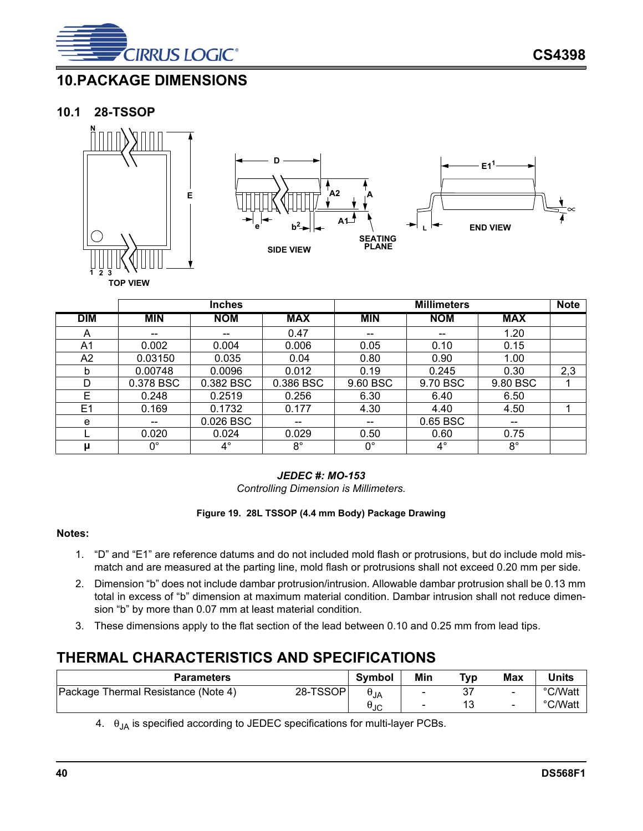

# <span id="page-39-0"></span>**10.PACKAGE DIMENSIONS**

## <span id="page-39-1"></span>**10.1 28-TSSOP**





|            | <b>Inches</b> |             |             | <b>Millimeters</b>                    |            |             |     |
|------------|---------------|-------------|-------------|---------------------------------------|------------|-------------|-----|
| <b>DIM</b> | <b>MIN</b>    | <b>NOM</b>  | <b>MAX</b>  | <b>MIN</b>                            | <b>NOM</b> | <b>MAX</b>  |     |
| A          |               | --          | 0.47        | $\hspace{0.05cm}$                     | --         | 1.20        |     |
| A1         | 0.002         | 0.004       | 0.006       | 0.05                                  | 0.10       | 0.15        |     |
| A2         | 0.03150       | 0.035       | 0.04        | 0.80                                  | 0.90       | 1.00        |     |
| b          | 0.00748       | 0.0096      | 0.012       | 0.19                                  | 0.245      | 0.30        | 2,3 |
| D          | 0.378 BSC     | 0.382 BSC   | 0.386 BSC   | 9.60 BSC                              | 9.70 BSC   | 9.80 BSC    |     |
| E          | 0.248         | 0.2519      | 0.256       | 6.30                                  | 6.40       | 6.50        |     |
| E1         | 0.169         | 0.1732      | 0.177       | 4.30                                  | 4.40       | 4.50        |     |
| е          |               | 0.026 BSC   | --          | $\hspace{0.05cm}$ – $\hspace{0.05cm}$ | 0.65 BSC   | --          |     |
|            | 0.020         | 0.024       | 0.029       | 0.50                                  | 0.60       | 0.75        |     |
| μ          | $0^{\circ}$   | $4^{\circ}$ | $8^{\circ}$ | $0^{\circ}$                           | $4^\circ$  | $8^{\circ}$ |     |

## *JEDEC #: MO-153*

*Controlling Dimension is Millimeters.*

#### **Figure 19. 28L TSSOP (4.4 mm Body) Package Drawing**

#### <span id="page-39-3"></span>**Notes:**

- 1. "D" and "E1" are reference datums and do not included mold flash or protrusions, but do include mold mismatch and are measured at the parting line, mold flash or protrusions shall not exceed 0.20 mm per side.
- <span id="page-39-5"></span>2. Dimension "b" does not include dambar protrusion/intrusion. Allowable dambar protrusion shall be 0.13 mm total in excess of "b" dimension at maximum material condition. Dambar intrusion shall not reduce dimension "b" by more than 0.07 mm at least material condition.
- <span id="page-39-6"></span>3. These dimensions apply to the flat section of the lead between 0.10 and 0.25 mm from lead tips.

# <span id="page-39-2"></span>**THERMAL CHARACTERISTICS AND SPECIFICATIONS**

| Parameters                                      | <b>Symbol</b> | Min                      | Typ | <b>Max</b> | Units   |
|-------------------------------------------------|---------------|--------------------------|-----|------------|---------|
| 28-TSSOP<br>Package Thermal Resistance (Note 4) | $\theta_{JA}$ | $\overline{\phantom{0}}$ | 37  | -          | °C/Watt |
|                                                 | uገC           | $\overline{\phantom{0}}$ | 13  | $\sim$     | °C/Watt |

<span id="page-39-4"></span>4.  $\theta_{JA}$  is specified according to JEDEC specifications for multi-layer PCBs.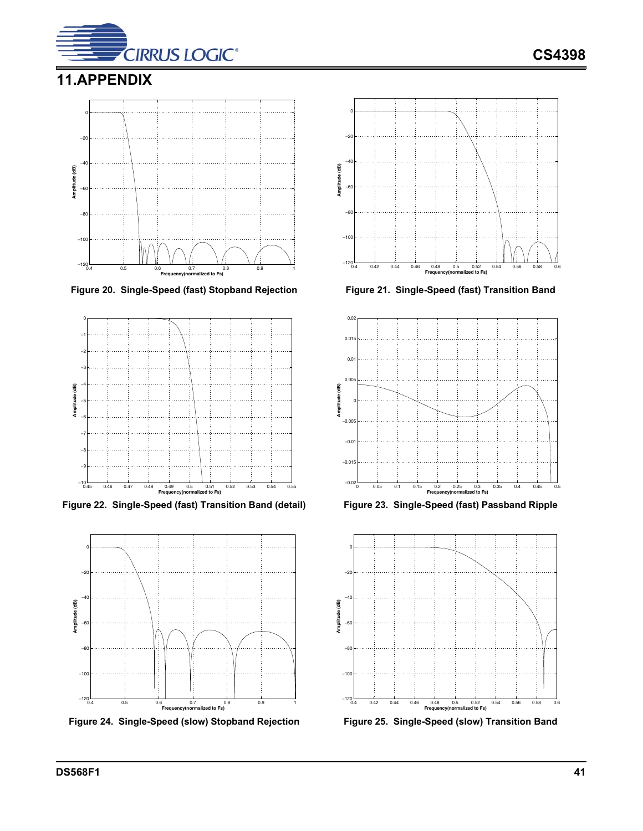

# <span id="page-40-0"></span>**11.APPENDIX**



<span id="page-40-1"></span>**Figure 20. Single-Speed (fast) Stopband Rejection Figure 21. Single-Speed (fast) Transition Band**



<span id="page-40-3"></span>**Figure 22. Single-Speed (fast) Transition Band (detail) Figure 23. Single-Speed (fast) Passband Ripple**



<span id="page-40-5"></span>



<span id="page-40-2"></span>



<span id="page-40-6"></span><span id="page-40-4"></span>

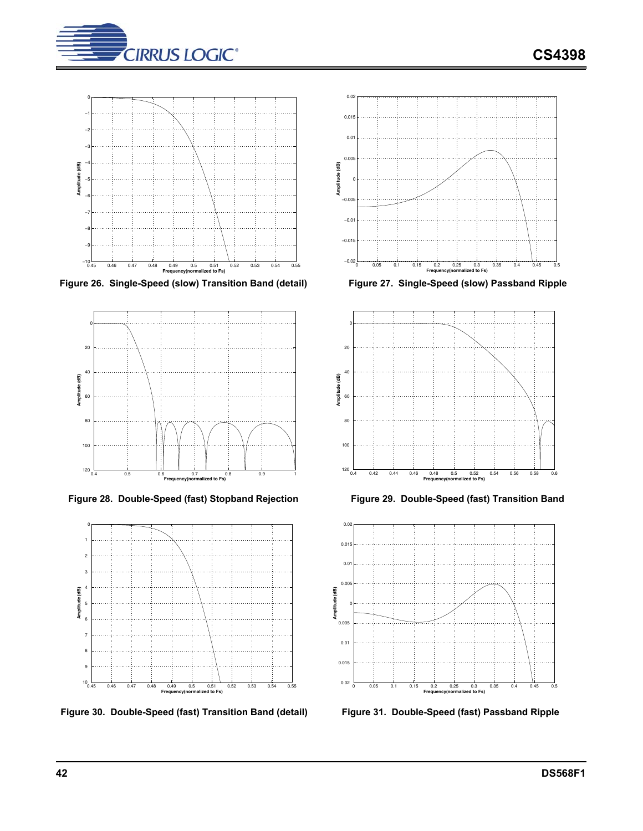



<span id="page-41-0"></span>**Figure 26. Single-Speed (slow) Transition Band (detail) Figure 27. Single-Speed (slow) Passband Ripple**



<span id="page-41-2"></span>Figure 28. Double-Speed (fast) Stopband Rejection Figure 29. Double-Speed (fast) Transition Band



<span id="page-41-4"></span>**Figure 30. Double-Speed (fast) Transition Band (detail) Figure 31. Double-Speed (fast) Passband Ripple**



<span id="page-41-1"></span>



<span id="page-41-3"></span>

<span id="page-41-5"></span>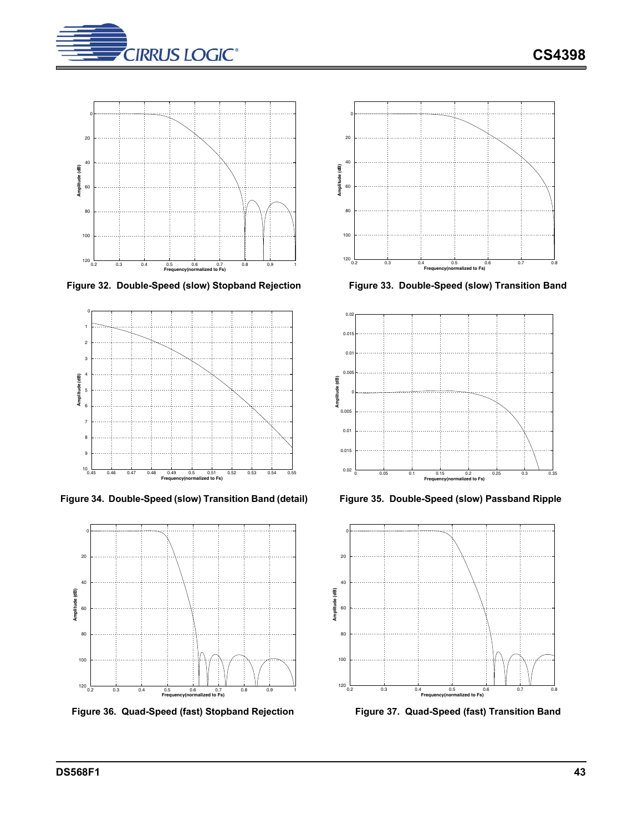



<span id="page-42-0"></span>Figure 32. Double-Speed (slow) Stopband Rejection Figure 33. Double-Speed (slow) Transition Band



<span id="page-42-2"></span>**Figure 34. Double-Speed (slow) Transition Band (detail) Figure 35. Double-Speed (slow) Passband Ripple**



<span id="page-42-4"></span>Figure 36. Quad-Speed (fast) Stopband Rejection Figure 37. Quad-Speed (fast) Transition Band



<span id="page-42-1"></span>



<span id="page-42-3"></span>



<span id="page-42-5"></span>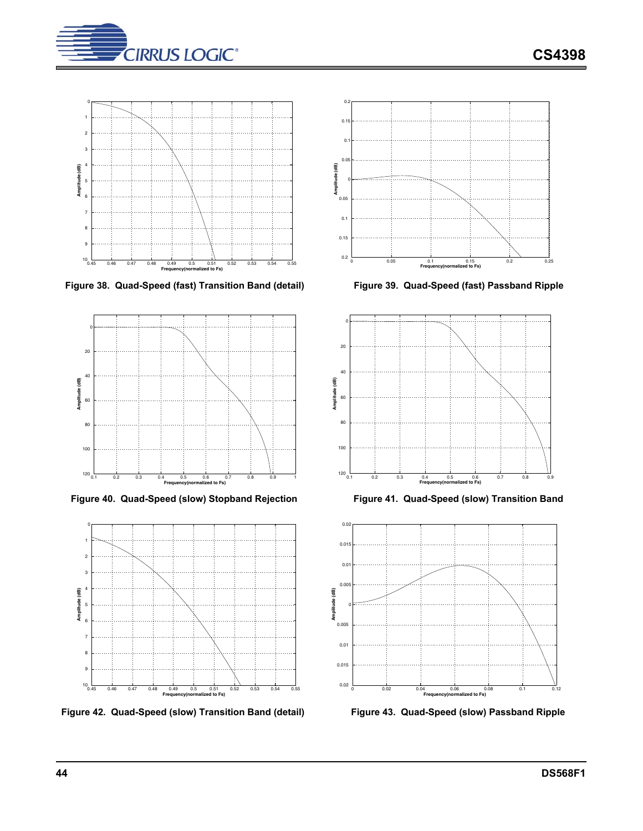



<span id="page-43-0"></span>**Figure 38. Quad-Speed (fast) Transition Band (detail) Figure 39. Quad-Speed (fast) Passband Ripple**



<span id="page-43-2"></span>Figure 40. Quad-Speed (slow) Stopband Rejection Figure 41. Quad-Speed (slow) Transition Band



<span id="page-43-4"></span>**Figure 42. Quad-Speed (slow) Transition Band (detail) Figure 43. Quad-Speed (slow) Passband Ripple**



<span id="page-43-1"></span>



<span id="page-43-3"></span>

<span id="page-43-5"></span>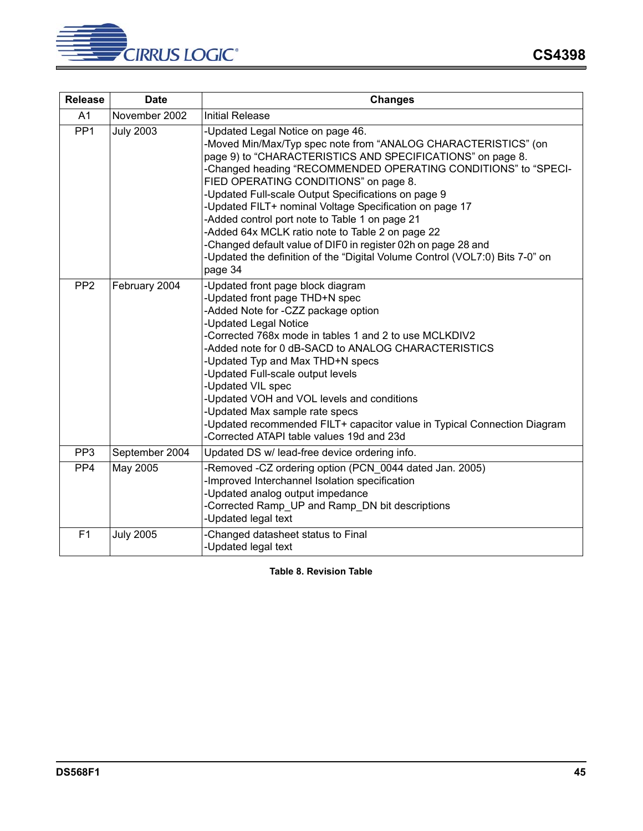

| <b>Release</b>  | <b>Date</b>      | <b>Changes</b>                                                                                                                                                                                                                                                                                                                                                                                                                                                                                                                                                                                                                                                  |  |  |
|-----------------|------------------|-----------------------------------------------------------------------------------------------------------------------------------------------------------------------------------------------------------------------------------------------------------------------------------------------------------------------------------------------------------------------------------------------------------------------------------------------------------------------------------------------------------------------------------------------------------------------------------------------------------------------------------------------------------------|--|--|
| A <sub>1</sub>  | November 2002    | <b>Initial Release</b>                                                                                                                                                                                                                                                                                                                                                                                                                                                                                                                                                                                                                                          |  |  |
| PP <sub>1</sub> | <b>July 2003</b> | -Updated Legal Notice on page 46.<br>-Moved Min/Max/Typ spec note from "ANALOG CHARACTERISTICS" (on<br>page 9) to "CHARACTERISTICS AND SPECIFICATIONS" on page 8.<br>-Changed heading "RECOMMENDED OPERATING CONDITIONS" to "SPECI-<br>FIED OPERATING CONDITIONS" on page 8.<br>Updated Full-scale Output Specifications on page 9<br>-Updated FILT+ nominal Voltage Specification on page 17<br>-Added control port note to Table 1 on page 21<br>-Added 64x MCLK ratio note to Table 2 on page 22<br>-Changed default value of DIF0 in register 02h on page 28 and<br>-Updated the definition of the "Digital Volume Control (VOL7:0) Bits 7-0" on<br>page 34 |  |  |
| PP <sub>2</sub> | February 2004    | -Updated front page block diagram<br>-Updated front page THD+N spec<br>-Added Note for -CZZ package option<br><b>Updated Legal Notice</b><br>Corrected 768x mode in tables 1 and 2 to use MCLKDIV2<br>Added note for 0 dB-SACD to ANALOG CHARACTERISTICS<br>-Updated Typ and Max THD+N specs<br>-Updated Full-scale output levels<br>-Updated VIL spec<br>Updated VOH and VOL levels and conditions<br>-Updated Max sample rate specs<br>-Updated recommended FILT+ capacitor value in Typical Connection Diagram<br>Corrected ATAPI table values 19d and 23d                                                                                                   |  |  |
| PP <sub>3</sub> | September 2004   | Updated DS w/ lead-free device ordering info.                                                                                                                                                                                                                                                                                                                                                                                                                                                                                                                                                                                                                   |  |  |
| PP <sub>4</sub> | May 2005         | -Removed -CZ ordering option (PCN_0044 dated Jan. 2005)<br>Improved Interchannel Isolation specification<br>-Updated analog output impedance<br>Corrected Ramp_UP and Ramp_DN bit descriptions<br><b>Updated legal text</b>                                                                                                                                                                                                                                                                                                                                                                                                                                     |  |  |
| F1              | <b>July 2005</b> | Changed datasheet status to Final<br><b>Updated legal text</b>                                                                                                                                                                                                                                                                                                                                                                                                                                                                                                                                                                                                  |  |  |

<span id="page-44-0"></span>**Table 8. Revision Table**